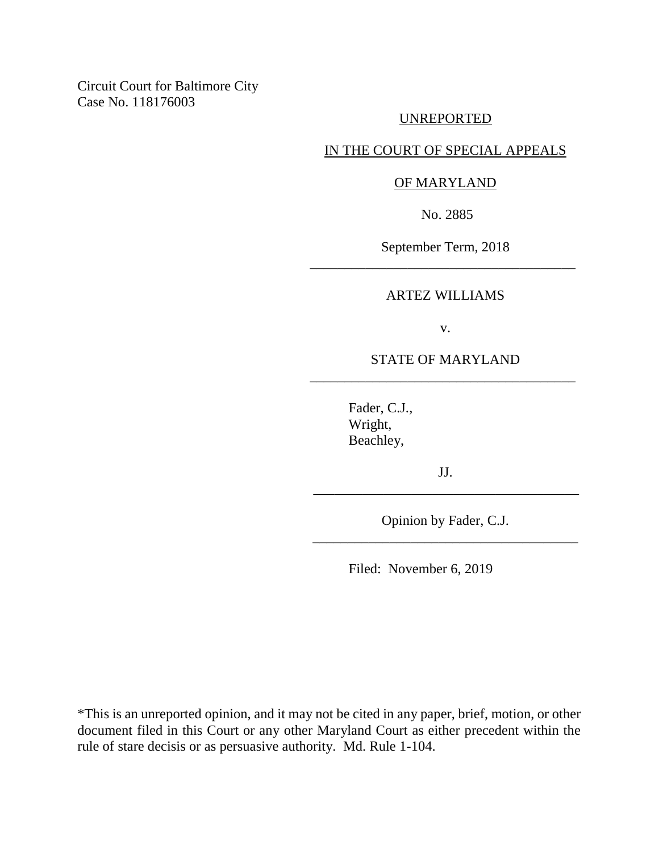Circuit Court for Baltimore City Case No. 118176003

### UNREPORTED

# IN THE COURT OF SPECIAL APPEALS

#### OF MARYLAND

No. 2885

September Term, 2018 \_\_\_\_\_\_\_\_\_\_\_\_\_\_\_\_\_\_\_\_\_\_\_\_\_\_\_\_\_\_\_\_\_\_\_\_\_\_

#### ARTEZ WILLIAMS

v.

### STATE OF MARYLAND \_\_\_\_\_\_\_\_\_\_\_\_\_\_\_\_\_\_\_\_\_\_\_\_\_\_\_\_\_\_\_\_\_\_\_\_\_\_

Fader, C.J., Wright, Beachley,

JJ. \_\_\_\_\_\_\_\_\_\_\_\_\_\_\_\_\_\_\_\_\_\_\_\_\_\_\_\_\_\_\_\_\_\_\_\_\_\_

Opinion by Fader, C.J. \_\_\_\_\_\_\_\_\_\_\_\_\_\_\_\_\_\_\_\_\_\_\_\_\_\_\_\_\_\_\_\_\_\_\_\_\_\_

Filed: November 6, 2019

\*This is an unreported opinion, and it may not be cited in any paper, brief, motion, or other document filed in this Court or any other Maryland Court as either precedent within the rule of stare decisis or as persuasive authority. Md. Rule 1-104.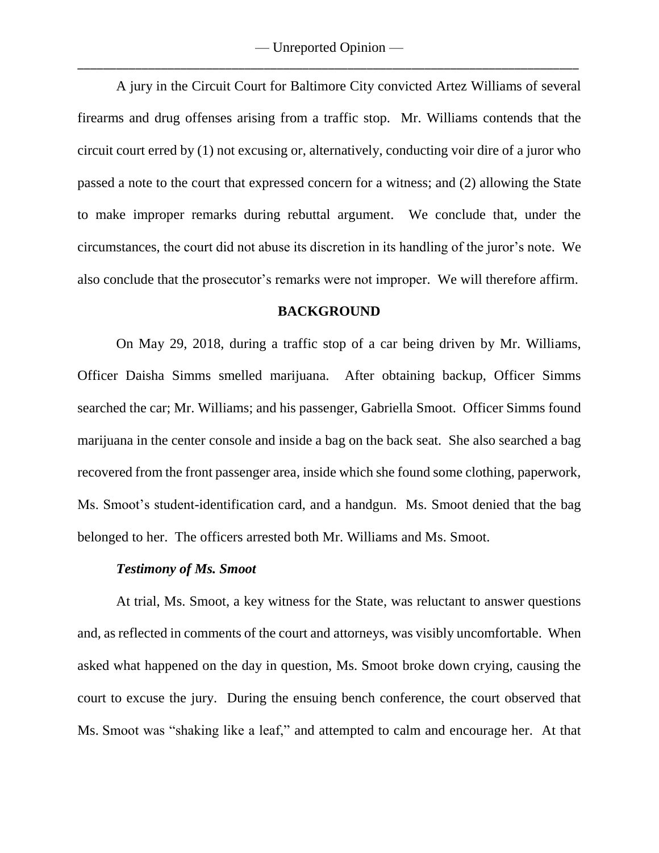A jury in the Circuit Court for Baltimore City convicted Artez Williams of several firearms and drug offenses arising from a traffic stop. Mr. Williams contends that the circuit court erred by (1) not excusing or, alternatively, conducting voir dire of a juror who passed a note to the court that expressed concern for a witness; and (2) allowing the State to make improper remarks during rebuttal argument. We conclude that, under the circumstances, the court did not abuse its discretion in its handling of the juror's note. We also conclude that the prosecutor's remarks were not improper. We will therefore affirm.

#### **BACKGROUND**

On May 29, 2018, during a traffic stop of a car being driven by Mr. Williams, Officer Daisha Simms smelled marijuana. After obtaining backup, Officer Simms searched the car; Mr. Williams; and his passenger, Gabriella Smoot. Officer Simms found marijuana in the center console and inside a bag on the back seat. She also searched a bag recovered from the front passenger area, inside which she found some clothing, paperwork, Ms. Smoot's student-identification card, and a handgun. Ms. Smoot denied that the bag belonged to her. The officers arrested both Mr. Williams and Ms. Smoot.

#### *Testimony of Ms. Smoot*

At trial, Ms. Smoot, a key witness for the State, was reluctant to answer questions and, as reflected in comments of the court and attorneys, was visibly uncomfortable. When asked what happened on the day in question, Ms. Smoot broke down crying, causing the court to excuse the jury. During the ensuing bench conference, the court observed that Ms. Smoot was "shaking like a leaf," and attempted to calm and encourage her. At that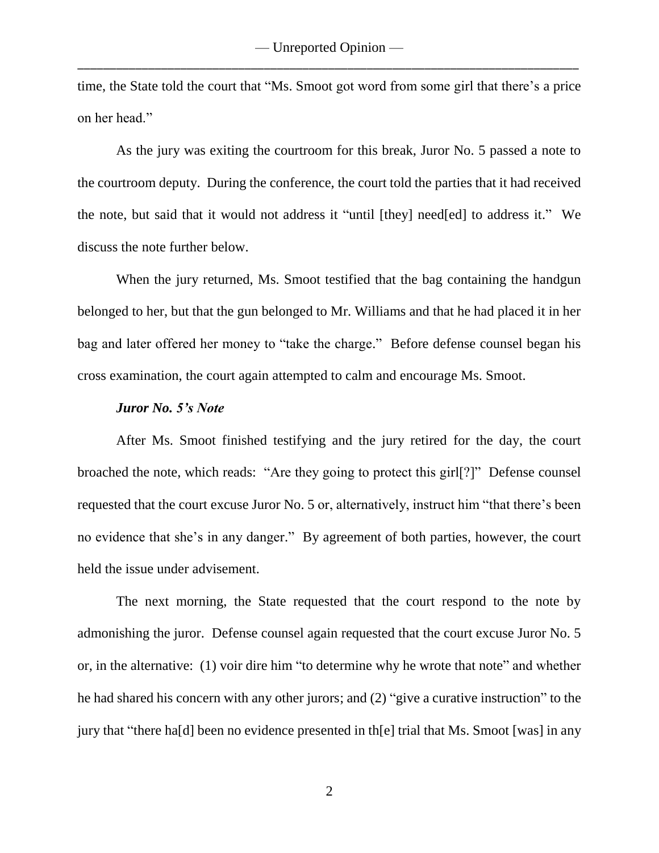time, the State told the court that "Ms. Smoot got word from some girl that there's a price on her head."

As the jury was exiting the courtroom for this break, Juror No. 5 passed a note to the courtroom deputy. During the conference, the court told the parties that it had received the note, but said that it would not address it "until [they] need[ed] to address it." We discuss the note further below.

When the jury returned, Ms. Smoot testified that the bag containing the handgun belonged to her, but that the gun belonged to Mr. Williams and that he had placed it in her bag and later offered her money to "take the charge." Before defense counsel began his cross examination, the court again attempted to calm and encourage Ms. Smoot.

#### *Juror No. 5's Note*

After Ms. Smoot finished testifying and the jury retired for the day, the court broached the note, which reads: "Are they going to protect this girl[?]" Defense counsel requested that the court excuse Juror No. 5 or, alternatively, instruct him "that there's been no evidence that she's in any danger." By agreement of both parties, however, the court held the issue under advisement.

The next morning, the State requested that the court respond to the note by admonishing the juror. Defense counsel again requested that the court excuse Juror No. 5 or, in the alternative: (1) voir dire him "to determine why he wrote that note" and whether he had shared his concern with any other jurors; and (2) "give a curative instruction" to the jury that "there ha[d] been no evidence presented in th[e] trial that Ms. Smoot [was] in any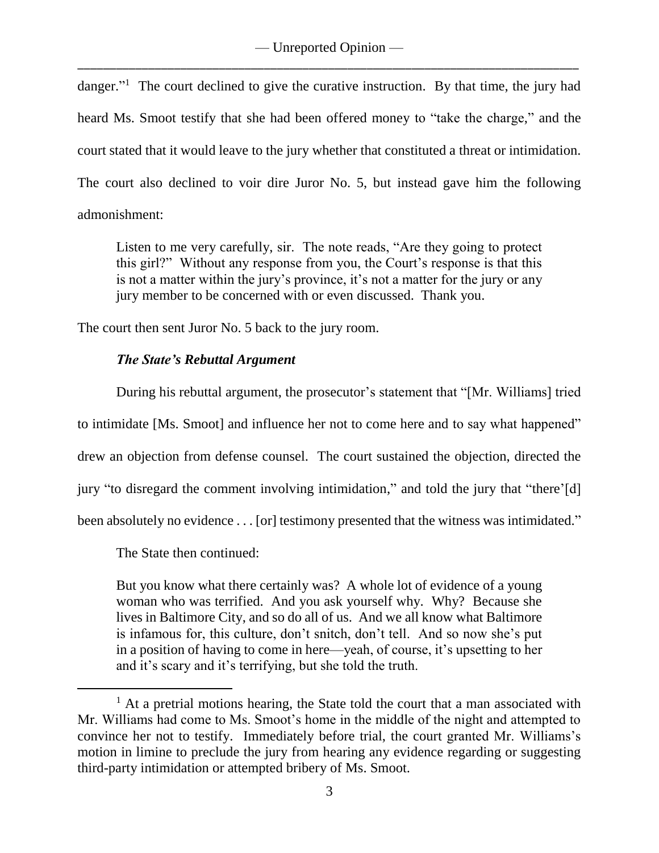danger."<sup>1</sup> The court declined to give the curative instruction. By that time, the jury had heard Ms. Smoot testify that she had been offered money to "take the charge," and the court stated that it would leave to the jury whether that constituted a threat or intimidation. The court also declined to voir dire Juror No. 5, but instead gave him the following admonishment:

Listen to me very carefully, sir. The note reads, "Are they going to protect this girl?" Without any response from you, the Court's response is that this is not a matter within the jury's province, it's not a matter for the jury or any jury member to be concerned with or even discussed. Thank you.

The court then sent Juror No. 5 back to the jury room.

# *The State's Rebuttal Argument*

During his rebuttal argument, the prosecutor's statement that "[Mr. Williams] tried to intimidate [Ms. Smoot] and influence her not to come here and to say what happened" drew an objection from defense counsel. The court sustained the objection, directed the jury "to disregard the comment involving intimidation," and told the jury that "there'[d] been absolutely no evidence . . . [or] testimony presented that the witness was intimidated."

The State then continued:

 $\overline{a}$ 

But you know what there certainly was? A whole lot of evidence of a young woman who was terrified. And you ask yourself why. Why? Because she lives in Baltimore City, and so do all of us. And we all know what Baltimore is infamous for, this culture, don't snitch, don't tell. And so now she's put in a position of having to come in here—yeah, of course, it's upsetting to her and it's scary and it's terrifying, but she told the truth.

 $<sup>1</sup>$  At a pretrial motions hearing, the State told the court that a man associated with</sup> Mr. Williams had come to Ms. Smoot's home in the middle of the night and attempted to convince her not to testify. Immediately before trial, the court granted Mr. Williams's motion in limine to preclude the jury from hearing any evidence regarding or suggesting third-party intimidation or attempted bribery of Ms. Smoot.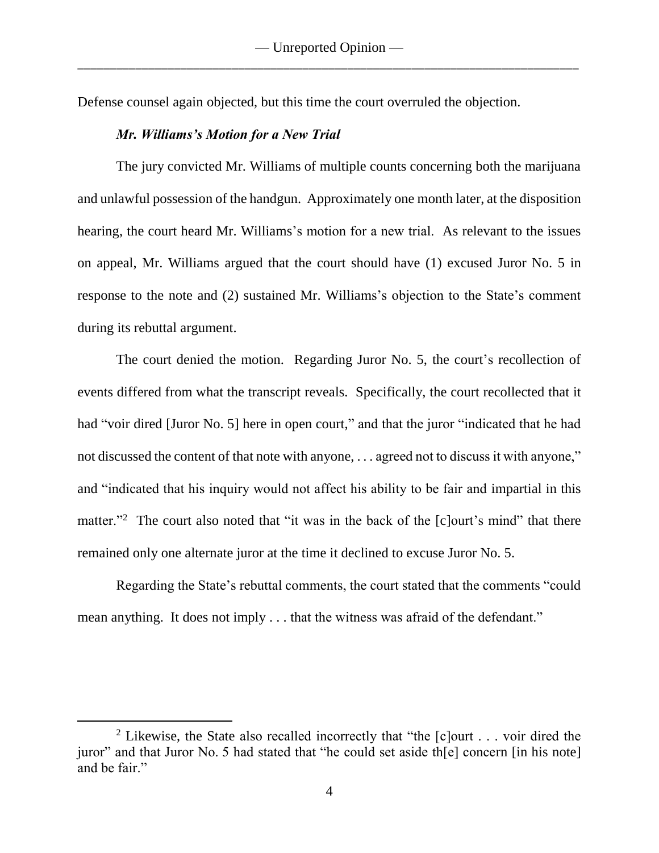Defense counsel again objected, but this time the court overruled the objection.

#### *Mr. Williams's Motion for a New Trial*

The jury convicted Mr. Williams of multiple counts concerning both the marijuana and unlawful possession of the handgun. Approximately one month later, at the disposition hearing, the court heard Mr. Williams's motion for a new trial. As relevant to the issues on appeal, Mr. Williams argued that the court should have (1) excused Juror No. 5 in response to the note and (2) sustained Mr. Williams's objection to the State's comment during its rebuttal argument.

The court denied the motion. Regarding Juror No. 5, the court's recollection of events differed from what the transcript reveals. Specifically, the court recollected that it had "voir dired [Juror No. 5] here in open court," and that the juror "indicated that he had not discussed the content of that note with anyone, . . . agreed not to discuss it with anyone," and "indicated that his inquiry would not affect his ability to be fair and impartial in this matter."<sup>2</sup> The court also noted that "it was in the back of the [c]ourt's mind" that there remained only one alternate juror at the time it declined to excuse Juror No. 5.

Regarding the State's rebuttal comments, the court stated that the comments "could mean anything. It does not imply . . . that the witness was afraid of the defendant."

<sup>&</sup>lt;sup>2</sup> Likewise, the State also recalled incorrectly that "the  $[c]$ ourt . . . voir dired the juror" and that Juror No. 5 had stated that "he could set aside th[e] concern [in his note] and be fair."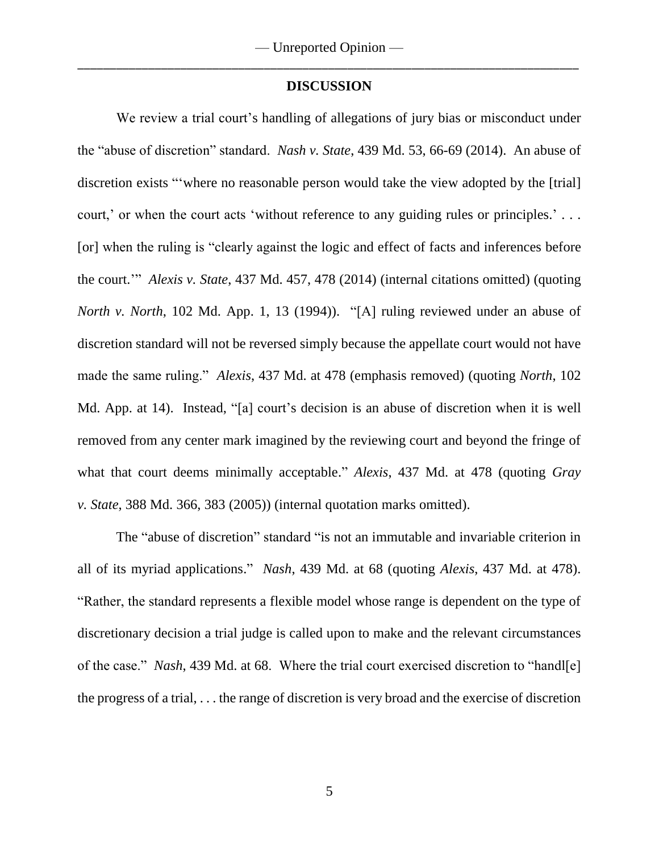#### **DISCUSSION**

We review a trial court's handling of allegations of jury bias or misconduct under the "abuse of discretion" standard. *Nash v. State*, 439 Md. 53, 66-69 (2014). An abuse of discretion exists "'where no reasonable person would take the view adopted by the [trial] court,' or when the court acts 'without reference to any guiding rules or principles.' . . . [or] when the ruling is "clearly against the logic and effect of facts and inferences before the court.'" *Alexis v. State*, 437 Md. 457, 478 (2014) (internal citations omitted) (quoting *North v. North*, 102 Md. App. 1, 13 (1994)). "[A] ruling reviewed under an abuse of discretion standard will not be reversed simply because the appellate court would not have made the same ruling." *Alexis*, 437 Md. at 478 (emphasis removed) (quoting *North*, 102 Md. App. at 14). Instead, "[a] court's decision is an abuse of discretion when it is well removed from any center mark imagined by the reviewing court and beyond the fringe of what that court deems minimally acceptable." *Alexis*, 437 Md. at 478 (quoting *Gray v. State*, 388 Md. 366, 383 (2005)) (internal quotation marks omitted).

The "abuse of discretion" standard "is not an immutable and invariable criterion in all of its myriad applications." *Nash*, 439 Md. at 68 (quoting *Alexis*, 437 Md. at 478). "Rather, the standard represents a flexible model whose range is dependent on the type of discretionary decision a trial judge is called upon to make and the relevant circumstances of the case." *Nash*, 439 Md. at 68. Where the trial court exercised discretion to "handl[e] the progress of a trial, . . . the range of discretion is very broad and the exercise of discretion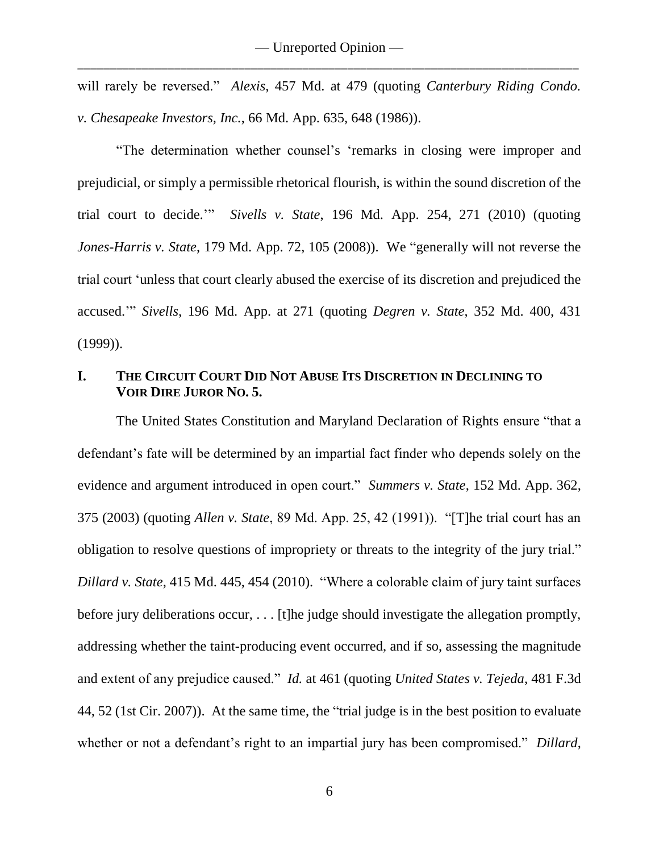will rarely be reversed." *Alexis*, 457 Md. at 479 (quoting *Canterbury Riding Condo. v. Chesapeake Investors, Inc.*, 66 Md. App. 635, 648 (1986)).

"The determination whether counsel's 'remarks in closing were improper and prejudicial, or simply a permissible rhetorical flourish, is within the sound discretion of the trial court to decide.'" *Sivells v. State*, 196 Md. App. 254, 271 (2010) (quoting *Jones-Harris v. State*, 179 Md. App. 72, 105 (2008)). We "generally will not reverse the trial court 'unless that court clearly abused the exercise of its discretion and prejudiced the accused.'" *Sivells*, 196 Md. App. at 271 (quoting *Degren v. State*, 352 Md. 400, 431 (1999)).

# **I. THE CIRCUIT COURT DID NOT ABUSE ITS DISCRETION IN DECLINING TO VOIR DIRE JUROR NO. 5.**

The United States Constitution and Maryland Declaration of Rights ensure "that a defendant's fate will be determined by an impartial fact finder who depends solely on the evidence and argument introduced in open court." *Summers v. State*, 152 Md. App. 362, 375 (2003) (quoting *Allen v. State*, 89 Md. App. 25, 42 (1991)). "[T]he trial court has an obligation to resolve questions of impropriety or threats to the integrity of the jury trial." *Dillard v. State*, 415 Md. 445, 454 (2010). "Where a colorable claim of jury taint surfaces before jury deliberations occur, ... [t]he judge should investigate the allegation promptly, addressing whether the taint-producing event occurred, and if so, assessing the magnitude and extent of any prejudice caused." *Id.* at 461 (quoting *United States v. Tejeda*, 481 F.3d 44, 52 (1st Cir. 2007)). At the same time, the "trial judge is in the best position to evaluate whether or not a defendant's right to an impartial jury has been compromised." *Dillard*,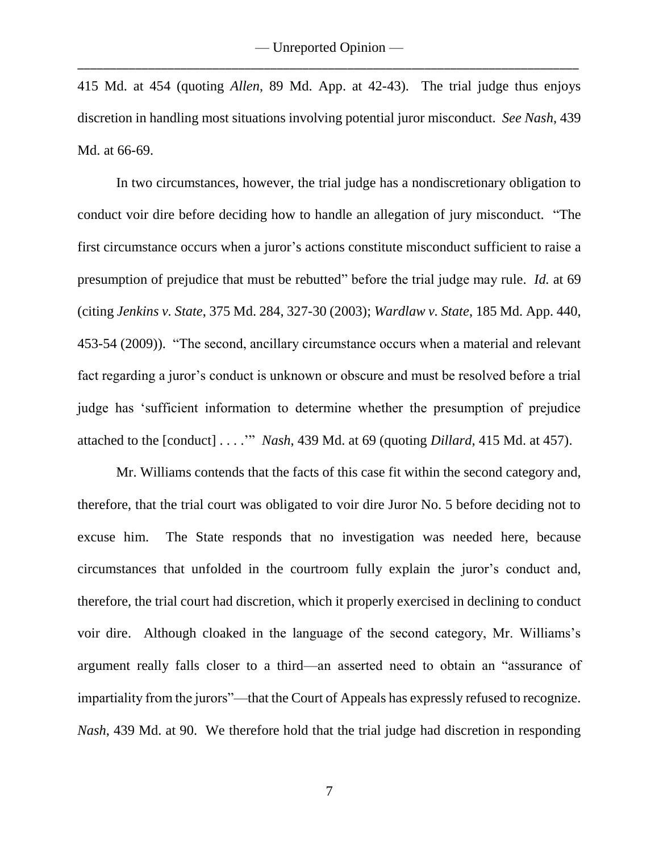415 Md. at 454 (quoting *Allen*, 89 Md. App. at 42-43). The trial judge thus enjoys discretion in handling most situations involving potential juror misconduct. *See Nash*, 439 Md. at 66-69.

In two circumstances, however, the trial judge has a nondiscretionary obligation to conduct voir dire before deciding how to handle an allegation of jury misconduct. "The first circumstance occurs when a juror's actions constitute misconduct sufficient to raise a presumption of prejudice that must be rebutted" before the trial judge may rule. *Id.* at 69 (citing *Jenkins v. State*, 375 Md. 284, 327-30 (2003); *Wardlaw v. State*, 185 Md. App. 440, 453-54 (2009)). "The second, ancillary circumstance occurs when a material and relevant fact regarding a juror's conduct is unknown or obscure and must be resolved before a trial judge has 'sufficient information to determine whether the presumption of prejudice attached to the [conduct] . . . .'" *Nash*, 439 Md. at 69 (quoting *Dillard*, 415 Md. at 457).

Mr. Williams contends that the facts of this case fit within the second category and, therefore, that the trial court was obligated to voir dire Juror No. 5 before deciding not to excuse him. The State responds that no investigation was needed here, because circumstances that unfolded in the courtroom fully explain the juror's conduct and, therefore, the trial court had discretion, which it properly exercised in declining to conduct voir dire. Although cloaked in the language of the second category, Mr. Williams's argument really falls closer to a third—an asserted need to obtain an "assurance of impartiality from the jurors"—that the Court of Appeals has expressly refused to recognize. *Nash*, 439 Md. at 90. We therefore hold that the trial judge had discretion in responding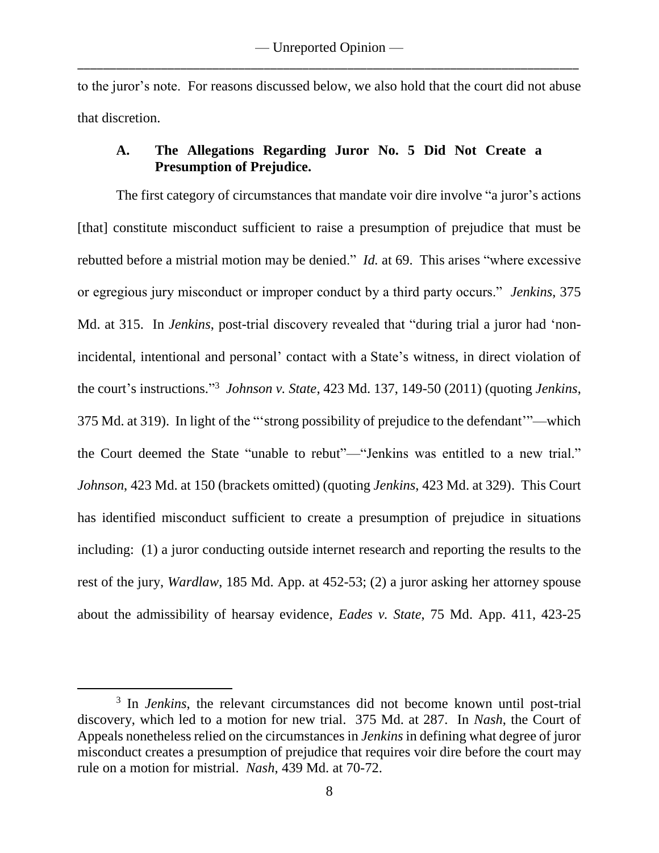to the juror's note. For reasons discussed below, we also hold that the court did not abuse that discretion.

### **A. The Allegations Regarding Juror No. 5 Did Not Create a Presumption of Prejudice.**

The first category of circumstances that mandate voir dire involve "a juror's actions [that] constitute misconduct sufficient to raise a presumption of prejudice that must be rebutted before a mistrial motion may be denied." *Id.* at 69. This arises "where excessive or egregious jury misconduct or improper conduct by a third party occurs." *Jenkins*, 375 Md. at 315. In *Jenkins*, post-trial discovery revealed that "during trial a juror had 'nonincidental, intentional and personal' contact with a State's witness, in direct violation of the court's instructions." 3 *Johnson v. State*, 423 Md. 137, 149-50 (2011) (quoting *Jenkins*, 375 Md. at 319). In light of the "'strong possibility of prejudice to the defendant'"—which the Court deemed the State "unable to rebut"—"Jenkins was entitled to a new trial." *Johnson*, 423 Md. at 150 (brackets omitted) (quoting *Jenkins*, 423 Md. at 329). This Court has identified misconduct sufficient to create a presumption of prejudice in situations including: (1) a juror conducting outside internet research and reporting the results to the rest of the jury, *Wardlaw*, 185 Md. App. at 452-53; (2) a juror asking her attorney spouse about the admissibility of hearsay evidence, *Eades v. State*, 75 Md. App. 411, 423-25

<sup>&</sup>lt;sup>3</sup> In *Jenkins*, the relevant circumstances did not become known until post-trial discovery, which led to a motion for new trial. 375 Md. at 287. In *Nash*, the Court of Appeals nonetheless relied on the circumstances in *Jenkins* in defining what degree of juror misconduct creates a presumption of prejudice that requires voir dire before the court may rule on a motion for mistrial. *Nash*, 439 Md. at 70-72.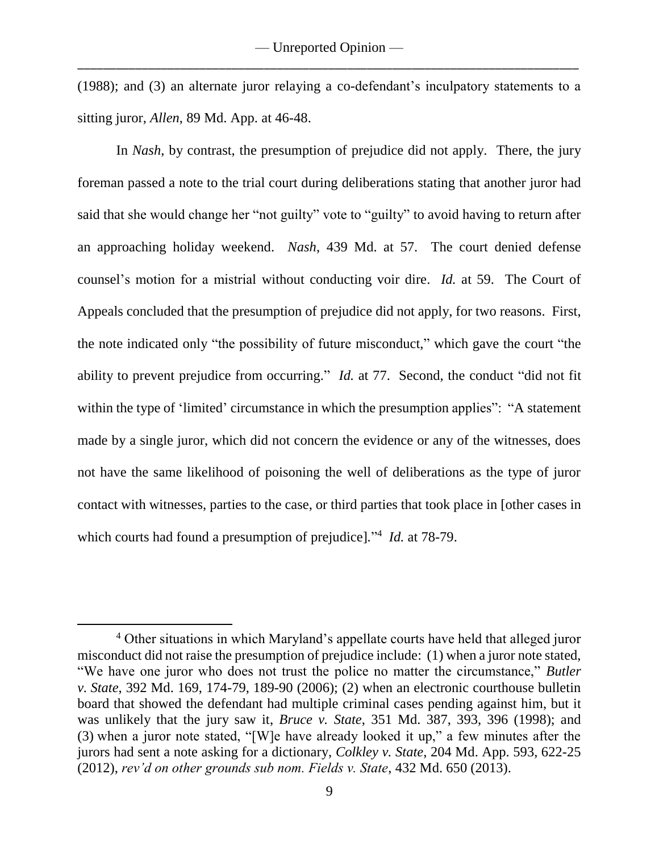(1988); and (3) an alternate juror relaying a co-defendant's inculpatory statements to a sitting juror, *Allen*, 89 Md. App. at 46-48.

In *Nash*, by contrast, the presumption of prejudice did not apply. There, the jury foreman passed a note to the trial court during deliberations stating that another juror had said that she would change her "not guilty" vote to "guilty" to avoid having to return after an approaching holiday weekend. *Nash*, 439 Md. at 57. The court denied defense counsel's motion for a mistrial without conducting voir dire. *Id.* at 59. The Court of Appeals concluded that the presumption of prejudice did not apply, for two reasons. First, the note indicated only "the possibility of future misconduct," which gave the court "the ability to prevent prejudice from occurring." *Id.* at 77. Second, the conduct "did not fit within the type of 'limited' circumstance in which the presumption applies": "A statement made by a single juror, which did not concern the evidence or any of the witnesses, does not have the same likelihood of poisoning the well of deliberations as the type of juror contact with witnesses, parties to the case, or third parties that took place in [other cases in which courts had found a presumption of prejudice]*.*" 4 *Id.* at 78-79.

<sup>4</sup> Other situations in which Maryland's appellate courts have held that alleged juror misconduct did not raise the presumption of prejudice include: (1) when a juror note stated, "We have one juror who does not trust the police no matter the circumstance," *Butler v. State*, 392 Md. 169, 174-79, 189-90 (2006); (2) when an electronic courthouse bulletin board that showed the defendant had multiple criminal cases pending against him, but it was unlikely that the jury saw it, *Bruce v. State*, 351 Md. 387, 393, 396 (1998); and (3) when a juror note stated, "[W]e have already looked it up," a few minutes after the jurors had sent a note asking for a dictionary, *Colkley v. State*, 204 Md. App. 593, 622-25 (2012), *rev'd on other grounds sub nom. Fields v. State*, 432 Md. 650 (2013).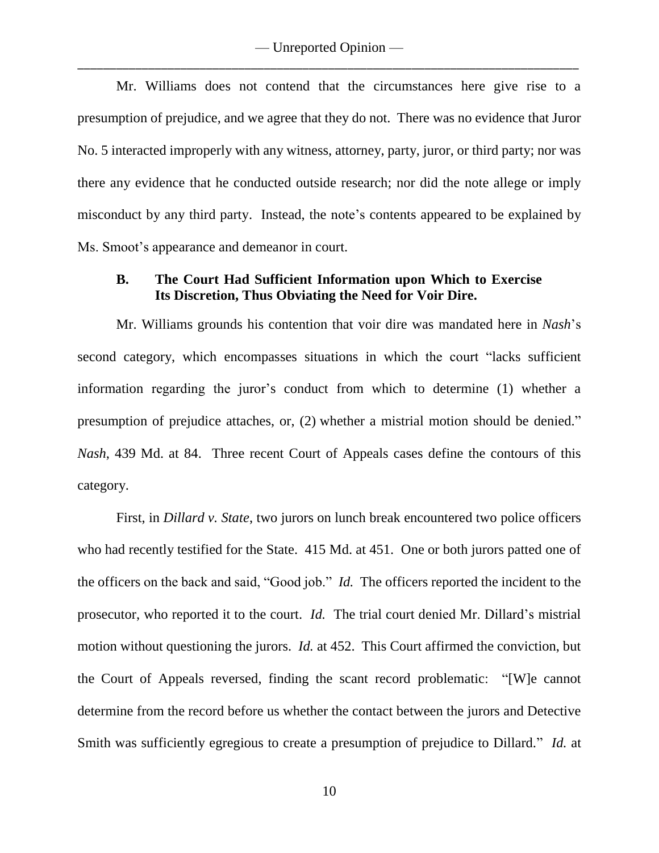Mr. Williams does not contend that the circumstances here give rise to a presumption of prejudice, and we agree that they do not. There was no evidence that Juror No. 5 interacted improperly with any witness, attorney, party, juror, or third party; nor was there any evidence that he conducted outside research; nor did the note allege or imply misconduct by any third party. Instead, the note's contents appeared to be explained by Ms. Smoot's appearance and demeanor in court.

### **B. The Court Had Sufficient Information upon Which to Exercise Its Discretion, Thus Obviating the Need for Voir Dire.**

Mr. Williams grounds his contention that voir dire was mandated here in *Nash*'s second category, which encompasses situations in which the court "lacks sufficient information regarding the juror's conduct from which to determine (1) whether a presumption of prejudice attaches, or, (2) whether a mistrial motion should be denied." *Nash*, 439 Md. at 84. Three recent Court of Appeals cases define the contours of this category.

First, in *Dillard v. State*, two jurors on lunch break encountered two police officers who had recently testified for the State. 415 Md. at 451. One or both jurors patted one of the officers on the back and said, "Good job." *Id.* The officers reported the incident to the prosecutor, who reported it to the court. *Id.* The trial court denied Mr. Dillard's mistrial motion without questioning the jurors. *Id.* at 452. This Court affirmed the conviction, but the Court of Appeals reversed, finding the scant record problematic: "[W]e cannot determine from the record before us whether the contact between the jurors and Detective Smith was sufficiently egregious to create a presumption of prejudice to Dillard." *Id.* at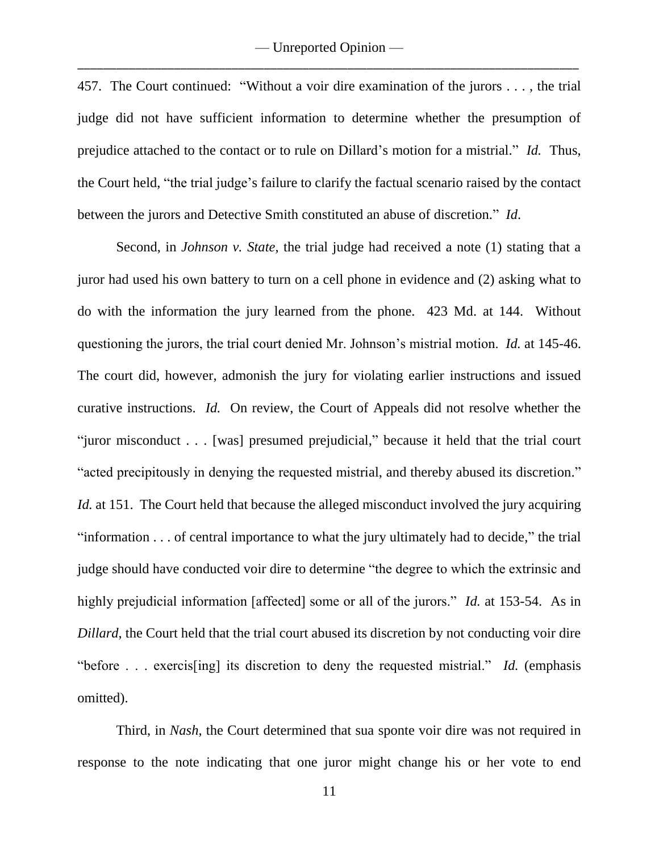457. The Court continued: "Without a voir dire examination of the jurors . . . , the trial judge did not have sufficient information to determine whether the presumption of prejudice attached to the contact or to rule on Dillard's motion for a mistrial." *Id.* Thus, the Court held, "the trial judge's failure to clarify the factual scenario raised by the contact between the jurors and Detective Smith constituted an abuse of discretion." *Id*.

Second, in *Johnson v. State*, the trial judge had received a note (1) stating that a juror had used his own battery to turn on a cell phone in evidence and (2) asking what to do with the information the jury learned from the phone. 423 Md. at 144. Without questioning the jurors, the trial court denied Mr. Johnson's mistrial motion. *Id.* at 145-46. The court did, however, admonish the jury for violating earlier instructions and issued curative instructions. *Id.* On review, the Court of Appeals did not resolve whether the "juror misconduct . . . [was] presumed prejudicial," because it held that the trial court "acted precipitously in denying the requested mistrial, and thereby abused its discretion." *Id.* at 151. The Court held that because the alleged misconduct involved the jury acquiring "information . . . of central importance to what the jury ultimately had to decide," the trial judge should have conducted voir dire to determine "the degree to which the extrinsic and highly prejudicial information [affected] some or all of the jurors." *Id.* at 153-54. As in *Dillard*, the Court held that the trial court abused its discretion by not conducting voir dire "before . . . exercis[ing] its discretion to deny the requested mistrial." *Id.* (emphasis omitted).

Third, in *Nash*, the Court determined that sua sponte voir dire was not required in response to the note indicating that one juror might change his or her vote to end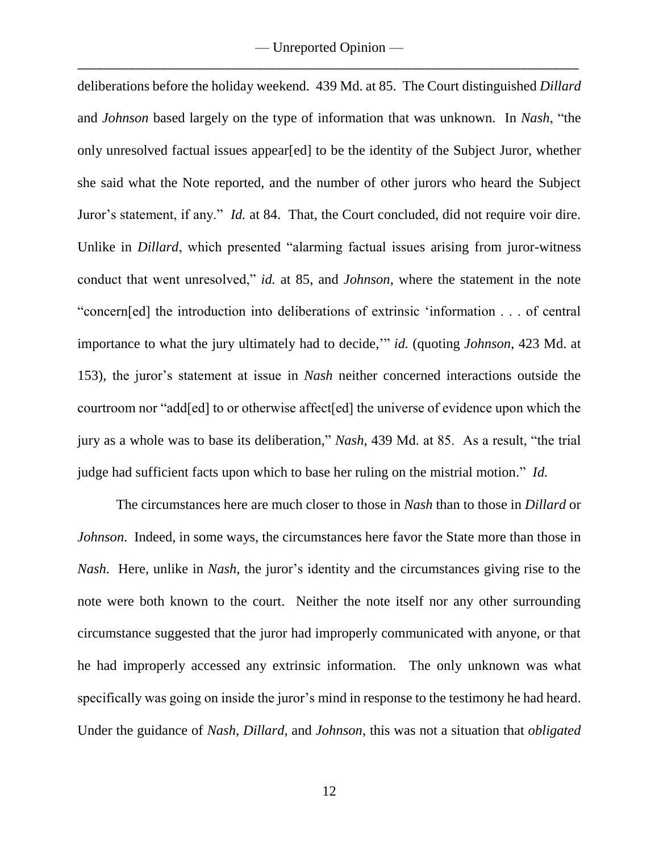— Unreported Opinion — \_\_\_\_\_\_\_\_\_\_\_\_\_\_\_\_\_\_\_\_\_\_\_\_\_\_\_\_\_\_\_\_\_\_\_\_\_\_\_\_\_\_\_\_\_\_\_\_\_\_\_\_\_\_\_\_\_\_\_\_\_\_\_\_\_\_\_\_\_\_\_\_\_\_\_\_\_\_

deliberations before the holiday weekend. 439 Md. at 85. The Court distinguished *Dillard*  and *Johnson* based largely on the type of information that was unknown. In *Nash*, "the only unresolved factual issues appear[ed] to be the identity of the Subject Juror, whether she said what the Note reported, and the number of other jurors who heard the Subject Juror's statement, if any." *Id.* at 84. That, the Court concluded, did not require voir dire. Unlike in *Dillard*, which presented "alarming factual issues arising from juror-witness conduct that went unresolved," *id.* at 85, and *Johnson*, where the statement in the note "concern[ed] the introduction into deliberations of extrinsic 'information . . . of central importance to what the jury ultimately had to decide,'" *id.* (quoting *Johnson*, 423 Md. at 153), the juror's statement at issue in *Nash* neither concerned interactions outside the courtroom nor "add[ed] to or otherwise affect[ed] the universe of evidence upon which the jury as a whole was to base its deliberation," *Nash*, 439 Md. at 85. As a result, "the trial judge had sufficient facts upon which to base her ruling on the mistrial motion." *Id.*

The circumstances here are much closer to those in *Nash* than to those in *Dillard* or *Johnson*. Indeed, in some ways, the circumstances here favor the State more than those in *Nash*. Here, unlike in *Nash*, the juror's identity and the circumstances giving rise to the note were both known to the court. Neither the note itself nor any other surrounding circumstance suggested that the juror had improperly communicated with anyone, or that he had improperly accessed any extrinsic information. The only unknown was what specifically was going on inside the juror's mind in response to the testimony he had heard. Under the guidance of *Nash*, *Dillard*, and *Johnson*, this was not a situation that *obligated*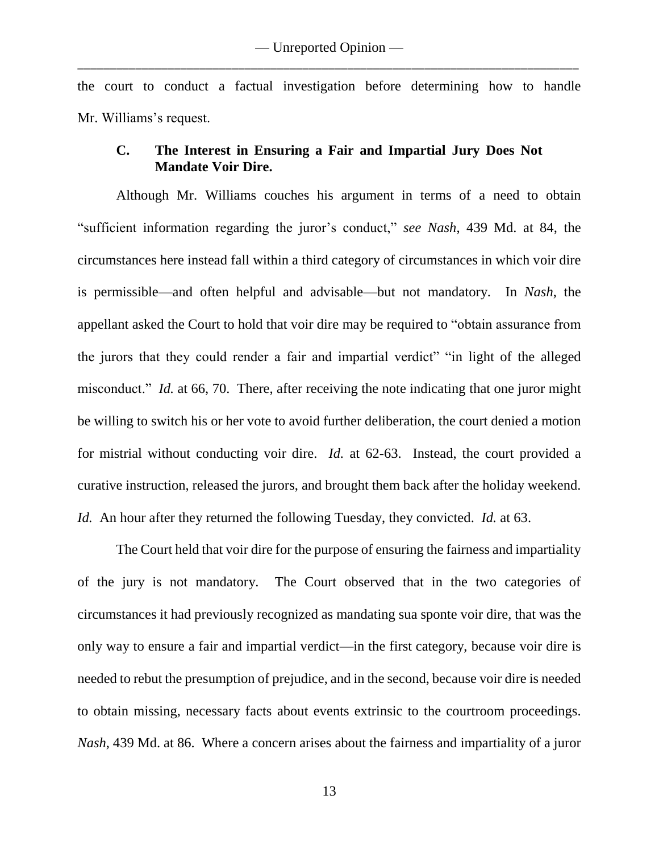the court to conduct a factual investigation before determining how to handle Mr. Williams's request.

### **C. The Interest in Ensuring a Fair and Impartial Jury Does Not Mandate Voir Dire.**

Although Mr. Williams couches his argument in terms of a need to obtain "sufficient information regarding the juror's conduct," *see Nash*, 439 Md. at 84, the circumstances here instead fall within a third category of circumstances in which voir dire is permissible—and often helpful and advisable—but not mandatory. In *Nash*, the appellant asked the Court to hold that voir dire may be required to "obtain assurance from the jurors that they could render a fair and impartial verdict" "in light of the alleged misconduct." *Id.* at 66, 70. There, after receiving the note indicating that one juror might be willing to switch his or her vote to avoid further deliberation, the court denied a motion for mistrial without conducting voir dire. *Id.* at 62-63. Instead, the court provided a curative instruction, released the jurors, and brought them back after the holiday weekend. *Id.* An hour after they returned the following Tuesday, they convicted. *Id.* at 63.

The Court held that voir dire for the purpose of ensuring the fairness and impartiality of the jury is not mandatory. The Court observed that in the two categories of circumstances it had previously recognized as mandating sua sponte voir dire, that was the only way to ensure a fair and impartial verdict—in the first category, because voir dire is needed to rebut the presumption of prejudice, and in the second, because voir dire is needed to obtain missing, necessary facts about events extrinsic to the courtroom proceedings. *Nash*, 439 Md. at 86. Where a concern arises about the fairness and impartiality of a juror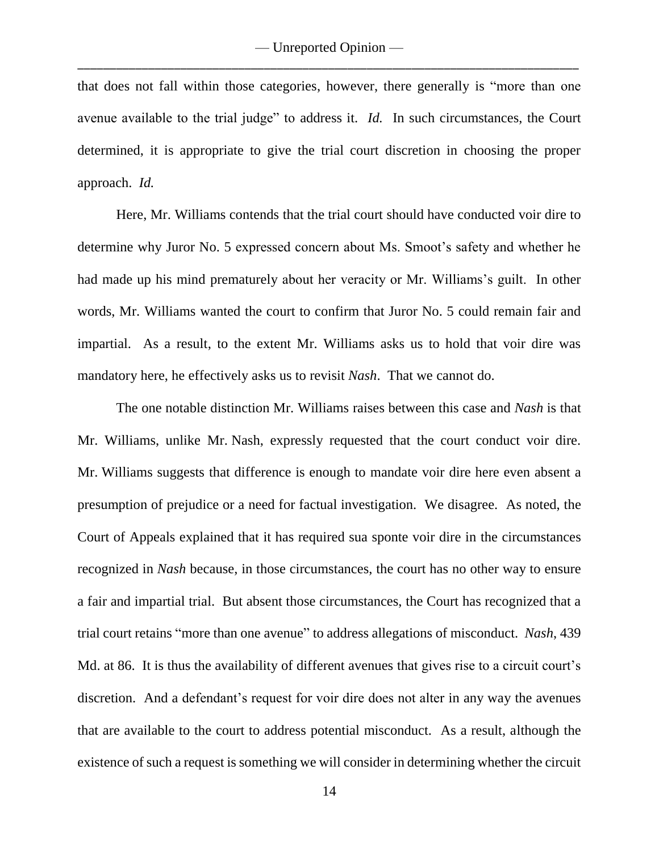that does not fall within those categories, however, there generally is "more than one avenue available to the trial judge" to address it. *Id.* In such circumstances, the Court determined, it is appropriate to give the trial court discretion in choosing the proper approach. *Id.*

Here, Mr. Williams contends that the trial court should have conducted voir dire to determine why Juror No. 5 expressed concern about Ms. Smoot's safety and whether he had made up his mind prematurely about her veracity or Mr. Williams's guilt. In other words, Mr. Williams wanted the court to confirm that Juror No. 5 could remain fair and impartial. As a result, to the extent Mr. Williams asks us to hold that voir dire was mandatory here, he effectively asks us to revisit *Nash*. That we cannot do.

The one notable distinction Mr. Williams raises between this case and *Nash* is that Mr. Williams, unlike Mr. Nash, expressly requested that the court conduct voir dire. Mr. Williams suggests that difference is enough to mandate voir dire here even absent a presumption of prejudice or a need for factual investigation. We disagree. As noted, the Court of Appeals explained that it has required sua sponte voir dire in the circumstances recognized in *Nash* because, in those circumstances, the court has no other way to ensure a fair and impartial trial. But absent those circumstances, the Court has recognized that a trial court retains "more than one avenue" to address allegations of misconduct. *Nash*, 439 Md. at 86. It is thus the availability of different avenues that gives rise to a circuit court's discretion. And a defendant's request for voir dire does not alter in any way the avenues that are available to the court to address potential misconduct. As a result, although the existence of such a request is something we will consider in determining whether the circuit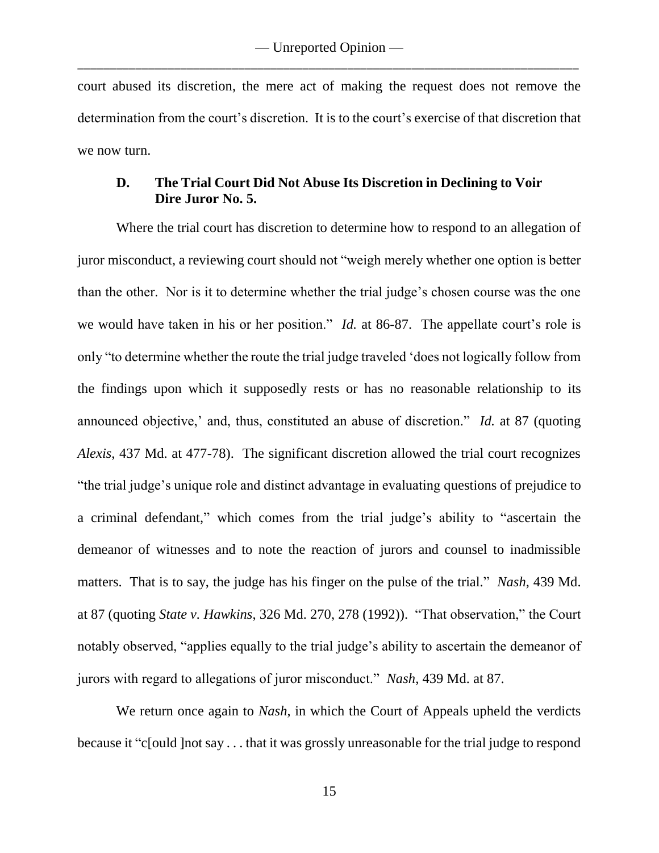court abused its discretion, the mere act of making the request does not remove the determination from the court's discretion. It is to the court's exercise of that discretion that we now turn.

## **D. The Trial Court Did Not Abuse Its Discretion in Declining to Voir Dire Juror No. 5.**

Where the trial court has discretion to determine how to respond to an allegation of juror misconduct, a reviewing court should not "weigh merely whether one option is better than the other. Nor is it to determine whether the trial judge's chosen course was the one we would have taken in his or her position." *Id.* at 86-87. The appellate court's role is only "to determine whether the route the trial judge traveled 'does not logically follow from the findings upon which it supposedly rests or has no reasonable relationship to its announced objective,' and, thus, constituted an abuse of discretion." *Id.* at 87 (quoting *Alexis*, 437 Md. at 477-78). The significant discretion allowed the trial court recognizes "the trial judge's unique role and distinct advantage in evaluating questions of prejudice to a criminal defendant," which comes from the trial judge's ability to "ascertain the demeanor of witnesses and to note the reaction of jurors and counsel to inadmissible matters. That is to say, the judge has his finger on the pulse of the trial." *Nash*, 439 Md. at 87 (quoting *State v. Hawkins*, 326 Md. 270, 278 (1992)). "That observation," the Court notably observed, "applies equally to the trial judge's ability to ascertain the demeanor of jurors with regard to allegations of juror misconduct." *Nash*, 439 Md. at 87.

We return once again to *Nash*, in which the Court of Appeals upheld the verdicts because it "c[ould ]not say . . . that it was grossly unreasonable for the trial judge to respond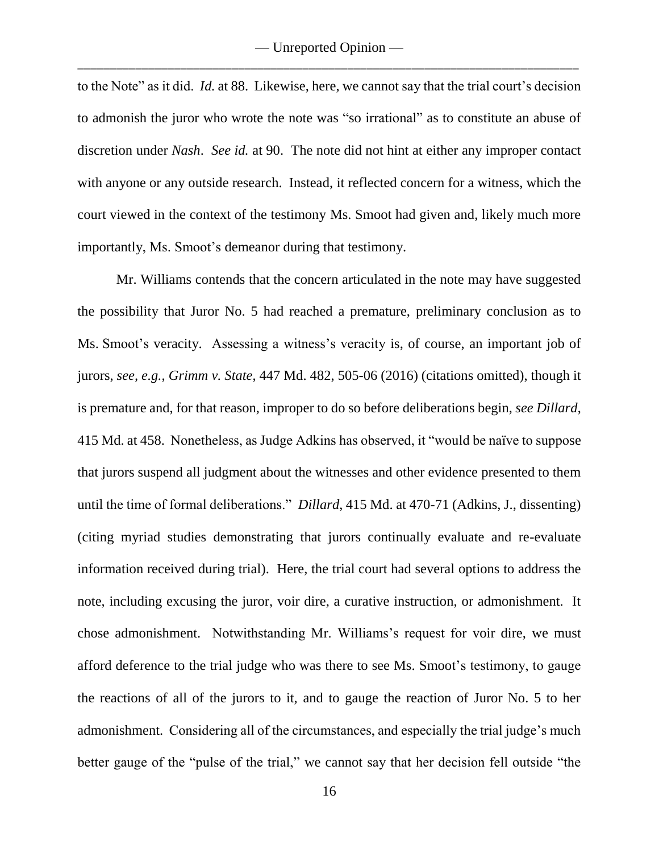to the Note" as it did. *Id.* at 88. Likewise, here, we cannot say that the trial court's decision to admonish the juror who wrote the note was "so irrational" as to constitute an abuse of discretion under *Nash*. *See id.* at 90. The note did not hint at either any improper contact with anyone or any outside research. Instead, it reflected concern for a witness, which the court viewed in the context of the testimony Ms. Smoot had given and, likely much more importantly, Ms. Smoot's demeanor during that testimony.

Mr. Williams contends that the concern articulated in the note may have suggested the possibility that Juror No. 5 had reached a premature, preliminary conclusion as to Ms. Smoot's veracity. Assessing a witness's veracity is, of course, an important job of jurors, *see, e.g.*, *Grimm v. State*, 447 Md. 482, 505-06 (2016) (citations omitted), though it is premature and, for that reason, improper to do so before deliberations begin, *see Dillard*, 415 Md. at 458. Nonetheless, as Judge Adkins has observed, it "would be naïve to suppose that jurors suspend all judgment about the witnesses and other evidence presented to them until the time of formal deliberations." *Dillard*, 415 Md. at 470-71 (Adkins, J., dissenting) (citing myriad studies demonstrating that jurors continually evaluate and re-evaluate information received during trial). Here, the trial court had several options to address the note, including excusing the juror, voir dire, a curative instruction, or admonishment. It chose admonishment. Notwithstanding Mr. Williams's request for voir dire, we must afford deference to the trial judge who was there to see Ms. Smoot's testimony, to gauge the reactions of all of the jurors to it, and to gauge the reaction of Juror No. 5 to her admonishment. Considering all of the circumstances, and especially the trial judge's much better gauge of the "pulse of the trial," we cannot say that her decision fell outside "the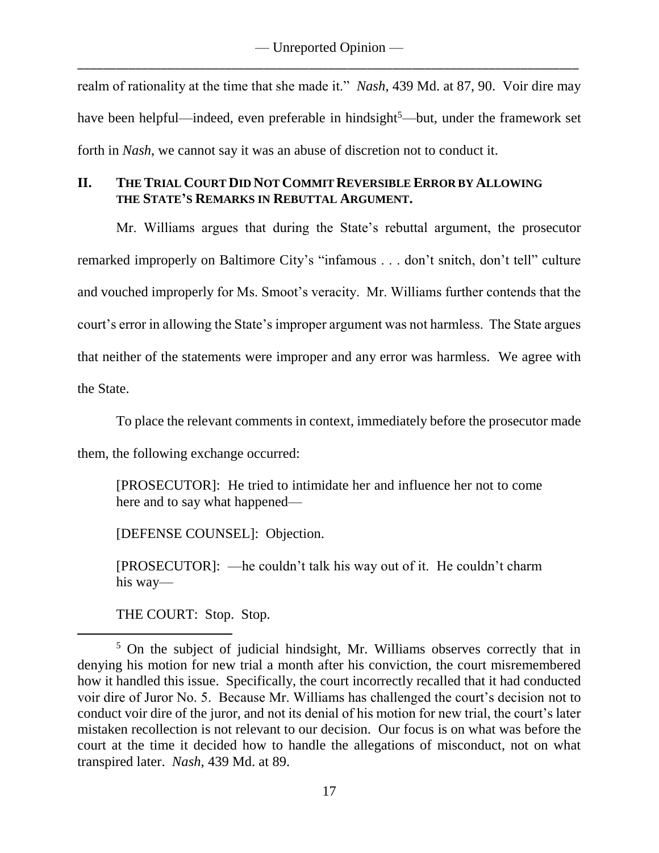realm of rationality at the time that she made it." *Nash*, 439 Md. at 87, 90. Voir dire may have been helpful—indeed, even preferable in hindsight<sup>5</sup>—but, under the framework set forth in *Nash*, we cannot say it was an abuse of discretion not to conduct it.

# **II. THE TRIAL COURT DID NOT COMMIT REVERSIBLE ERROR BY ALLOWING THE STATE'S REMARKS IN REBUTTAL ARGUMENT.**

Mr. Williams argues that during the State's rebuttal argument, the prosecutor remarked improperly on Baltimore City's "infamous . . . don't snitch, don't tell" culture and vouched improperly for Ms. Smoot's veracity. Mr. Williams further contends that the court's error in allowing the State's improper argument was not harmless. The State argues that neither of the statements were improper and any error was harmless. We agree with the State.

To place the relevant comments in context, immediately before the prosecutor made

them, the following exchange occurred:

[PROSECUTOR]: He tried to intimidate her and influence her not to come here and to say what happened—

[DEFENSE COUNSEL]: Objection.

[PROSECUTOR]: —he couldn't talk his way out of it. He couldn't charm his way—

THE COURT: Stop. Stop.

<sup>5</sup> On the subject of judicial hindsight, Mr. Williams observes correctly that in denying his motion for new trial a month after his conviction, the court misremembered how it handled this issue. Specifically, the court incorrectly recalled that it had conducted voir dire of Juror No. 5. Because Mr. Williams has challenged the court's decision not to conduct voir dire of the juror, and not its denial of his motion for new trial, the court's later mistaken recollection is not relevant to our decision. Our focus is on what was before the court at the time it decided how to handle the allegations of misconduct, not on what transpired later. *Nash*, 439 Md. at 89.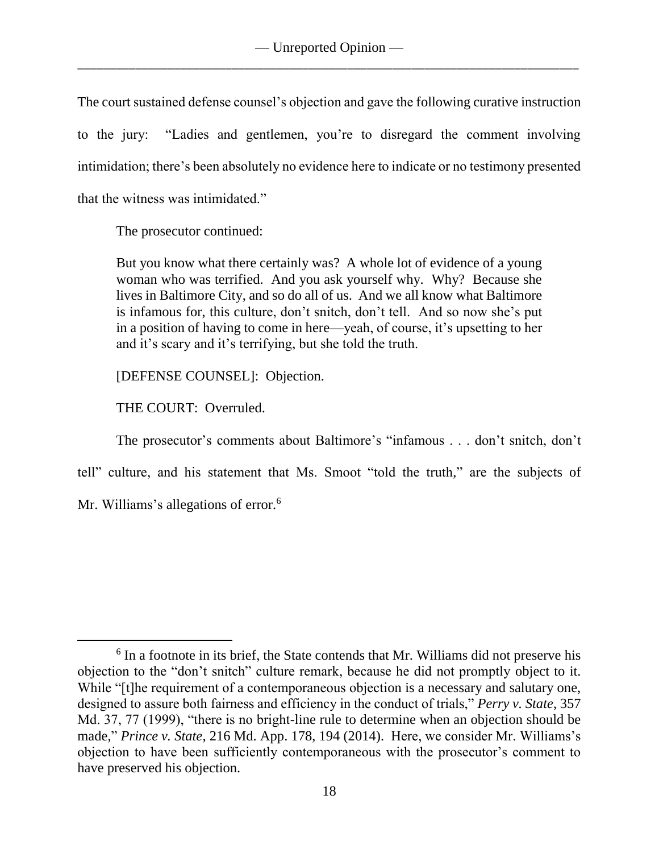The court sustained defense counsel's objection and gave the following curative instruction to the jury: "Ladies and gentlemen, you're to disregard the comment involving intimidation; there's been absolutely no evidence here to indicate or no testimony presented that the witness was intimidated."

The prosecutor continued:

But you know what there certainly was? A whole lot of evidence of a young woman who was terrified. And you ask yourself why. Why? Because she lives in Baltimore City, and so do all of us. And we all know what Baltimore is infamous for, this culture, don't snitch, don't tell. And so now she's put in a position of having to come in here—yeah, of course, it's upsetting to her and it's scary and it's terrifying, but she told the truth.

[DEFENSE COUNSEL]: Objection.

THE COURT: Overruled.

The prosecutor's comments about Baltimore's "infamous . . . don't snitch, don't

tell" culture, and his statement that Ms. Smoot "told the truth," are the subjects of

Mr. Williams's allegations of error.<sup>6</sup>

<sup>&</sup>lt;sup>6</sup> In a footnote in its brief, the State contends that Mr. Williams did not preserve his objection to the "don't snitch" culture remark, because he did not promptly object to it. While "[t]he requirement of a contemporaneous objection is a necessary and salutary one, designed to assure both fairness and efficiency in the conduct of trials," *Perry v. State*, 357 Md. 37, 77 (1999), "there is no bright-line rule to determine when an objection should be made," *Prince v. State*, 216 Md. App. 178, 194 (2014). Here, we consider Mr. Williams's objection to have been sufficiently contemporaneous with the prosecutor's comment to have preserved his objection.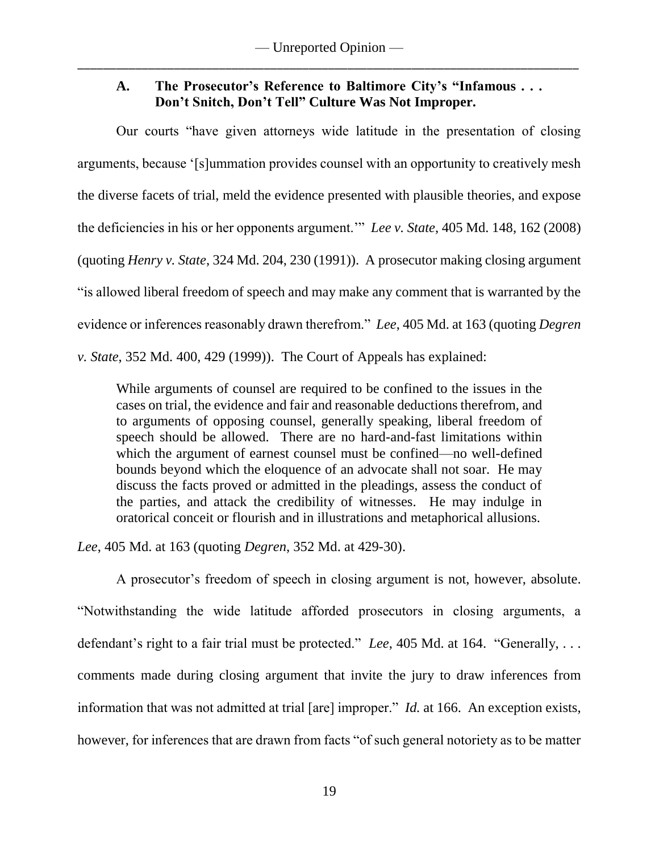# **A. The Prosecutor's Reference to Baltimore City's "Infamous . . . Don't Snitch, Don't Tell" Culture Was Not Improper.**

Our courts "have given attorneys wide latitude in the presentation of closing arguments, because '[s]ummation provides counsel with an opportunity to creatively mesh the diverse facets of trial, meld the evidence presented with plausible theories, and expose the deficiencies in his or her opponents argument.'" *Lee v. State*, 405 Md. 148, 162 (2008) (quoting *Henry v. State*, 324 Md. 204, 230 (1991)). A prosecutor making closing argument "is allowed liberal freedom of speech and may make any comment that is warranted by the evidence or inferences reasonably drawn therefrom." *Lee*, 405 Md. at 163 (quoting *Degren v. State*, 352 Md. 400, 429 (1999)). The Court of Appeals has explained:

While arguments of counsel are required to be confined to the issues in the cases on trial, the evidence and fair and reasonable deductions therefrom, and to arguments of opposing counsel, generally speaking, liberal freedom of speech should be allowed. There are no hard-and-fast limitations within which the argument of earnest counsel must be confined—no well-defined bounds beyond which the eloquence of an advocate shall not soar. He may discuss the facts proved or admitted in the pleadings, assess the conduct of the parties, and attack the credibility of witnesses. He may indulge in oratorical conceit or flourish and in illustrations and metaphorical allusions.

*Lee*, 405 Md. at 163 (quoting *Degren*, 352 Md. at 429-30).

A prosecutor's freedom of speech in closing argument is not, however, absolute. "Notwithstanding the wide latitude afforded prosecutors in closing arguments, a defendant's right to a fair trial must be protected." *Lee*, 405 Md. at 164. "Generally, . . . comments made during closing argument that invite the jury to draw inferences from information that was not admitted at trial [are] improper." *Id.* at 166. An exception exists, however, for inferences that are drawn from facts "of such general notoriety as to be matter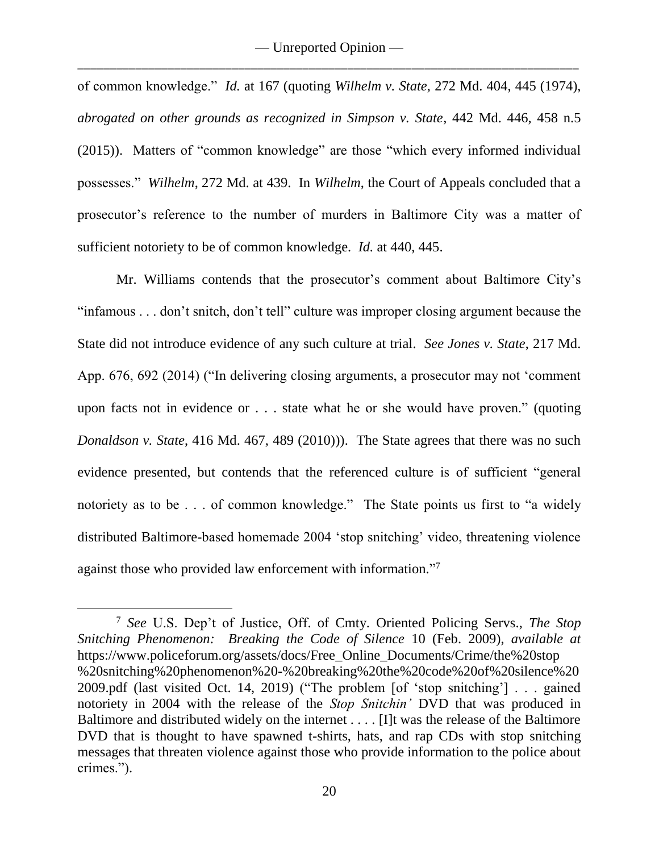of common knowledge." *Id.* at 167 (quoting *Wilhelm v. State*, 272 Md. 404, 445 (1974), *abrogated on other grounds as recognized in Simpson v. State*, 442 Md. 446, 458 n.5 (2015)). Matters of "common knowledge" are those "which every informed individual possesses." *Wilhelm*, 272 Md. at 439. In *Wilhelm*, the Court of Appeals concluded that a prosecutor's reference to the number of murders in Baltimore City was a matter of sufficient notoriety to be of common knowledge. *Id.* at 440, 445.

Mr. Williams contends that the prosecutor's comment about Baltimore City's "infamous . . . don't snitch, don't tell" culture was improper closing argument because the State did not introduce evidence of any such culture at trial. *See Jones v. State*, 217 Md. App. 676, 692 (2014) ("In delivering closing arguments, a prosecutor may not 'comment upon facts not in evidence or . . . state what he or she would have proven." (quoting *Donaldson v. State*, 416 Md. 467, 489 (2010))). The State agrees that there was no such evidence presented, but contends that the referenced culture is of sufficient "general notoriety as to be . . . of common knowledge." The State points us first to "a widely distributed Baltimore-based homemade 2004 'stop snitching' video, threatening violence against those who provided law enforcement with information."7

<sup>7</sup> *See* U.S. Dep't of Justice, Off. of Cmty. Oriented Policing Servs., *The Stop Snitching Phenomenon: Breaking the Code of Silence* 10 (Feb. 2009), *available at* https://www.policeforum.org/assets/docs/Free\_Online\_Documents/Crime/the%20stop %20snitching%20phenomenon%20-%20breaking%20the%20code%20of%20silence%20 2009.pdf (last visited Oct. 14, 2019) ("The problem [of 'stop snitching'] . . . gained notoriety in 2004 with the release of the *Stop Snitchin'* DVD that was produced in Baltimore and distributed widely on the internet . . . . [I]t was the release of the Baltimore DVD that is thought to have spawned t-shirts, hats, and rap CDs with stop snitching messages that threaten violence against those who provide information to the police about crimes.").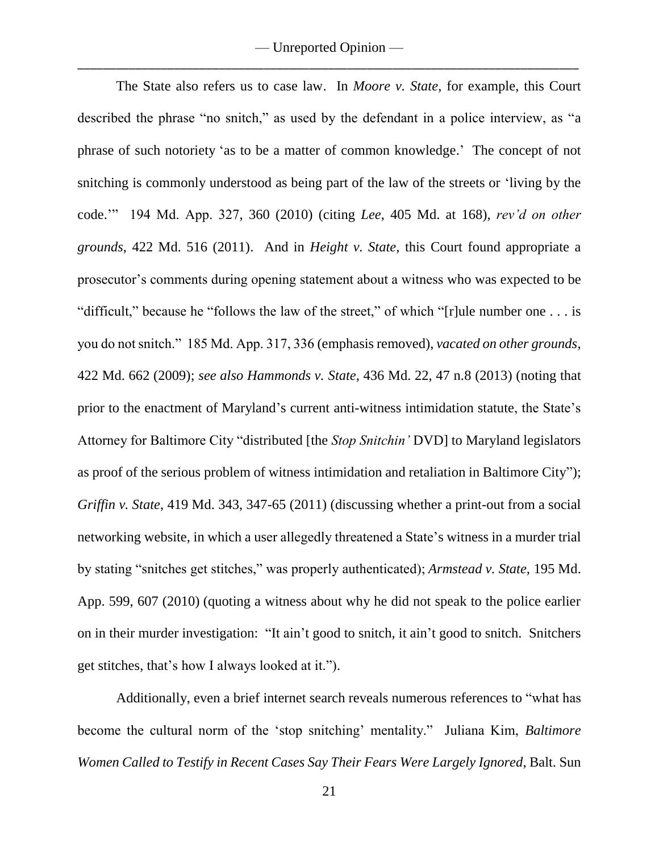The State also refers us to case law. In *Moore v. State*, for example, this Court described the phrase "no snitch," as used by the defendant in a police interview, as "a phrase of such notoriety 'as to be a matter of common knowledge.' The concept of not snitching is commonly understood as being part of the law of the streets or 'living by the code.'" 194 Md. App. 327, 360 (2010) (citing *Lee*, 405 Md. at 168), *rev'd on other grounds*, 422 Md. 516 (2011). And in *Height v. State*, this Court found appropriate a prosecutor's comments during opening statement about a witness who was expected to be "difficult," because he "follows the law of the street," of which "[r]ule number one . . . is you do not snitch." 185 Md. App. 317, 336 (emphasis removed), *vacated on other grounds*, 422 Md. 662 (2009); *see also Hammonds v. State*, 436 Md. 22, 47 n.8 (2013) (noting that prior to the enactment of Maryland's current anti-witness intimidation statute, the State's Attorney for Baltimore City "distributed [the *Stop Snitchin'* DVD] to Maryland legislators as proof of the serious problem of witness intimidation and retaliation in Baltimore City"); *Griffin v. State*, 419 Md. 343, 347-65 (2011) (discussing whether a print-out from a social networking website, in which a user allegedly threatened a State's witness in a murder trial by stating "snitches get stitches," was properly authenticated); *Armstead v. State,* 195 Md. App. 599, 607 (2010) (quoting a witness about why he did not speak to the police earlier on in their murder investigation: "It ain't good to snitch, it ain't good to snitch. Snitchers get stitches, that's how I always looked at it.").

Additionally, even a brief internet search reveals numerous references to "what has become the cultural norm of the 'stop snitching' mentality." Juliana Kim, *Baltimore Women Called to Testify in Recent Cases Say Their Fears Were Largely Ignored*, Balt. Sun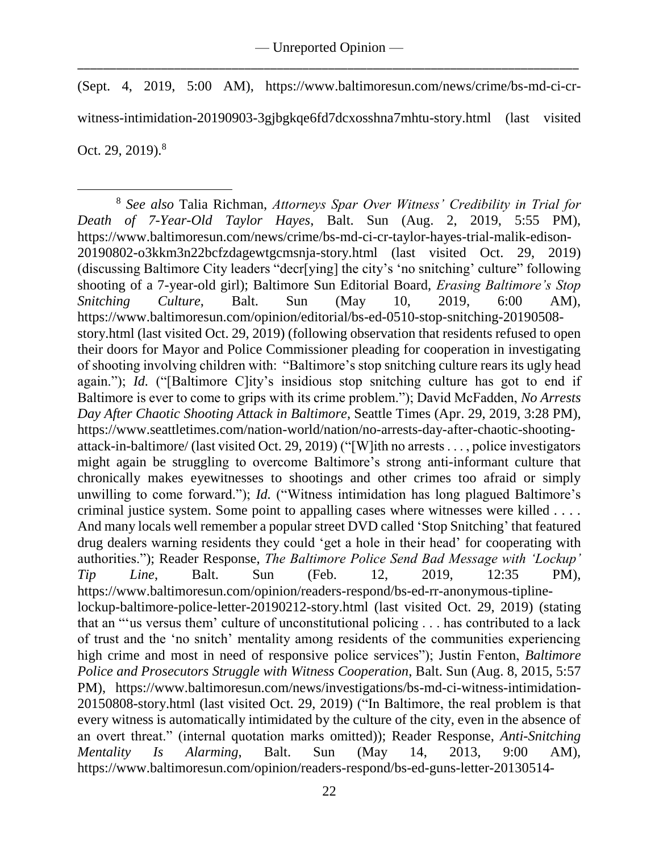(Sept. 4, 2019, 5:00 AM), https://www.baltimoresun.com/news/crime/bs-md-ci-crwitness-intimidation-20190903-3gjbgkqe6fd7dcxosshna7mhtu-story.html (last visited Oct. 29, 2019).<sup>8</sup>

 $\overline{a}$ <sup>8</sup> *See also* Talia Richman, *Attorneys Spar Over Witness' Credibility in Trial for Death of 7-Year-Old Taylor Hayes*, Balt. Sun (Aug. 2, 2019, 5:55 PM), https://www.baltimoresun.com/news/crime/bs-md-ci-cr-taylor-hayes-trial-malik-edison-20190802-o3kkm3n22bcfzdagewtgcmsnja-story.html (last visited Oct. 29, 2019) (discussing Baltimore City leaders "decr[ying] the city's 'no snitching' culture" following shooting of a 7-year-old girl); Baltimore Sun Editorial Board, *Erasing Baltimore's Stop Snitching Culture*, Balt. Sun (May 10, 2019, 6:00 AM), https://www.baltimoresun.com/opinion/editorial/bs-ed-0510-stop-snitching-20190508 story.html (last visited Oct. 29, 2019) (following observation that residents refused to open their doors for Mayor and Police Commissioner pleading for cooperation in investigating of shooting involving children with: "Baltimore's stop snitching culture rears its ugly head again."); *Id.* ("[Baltimore C]ity's insidious stop snitching culture has got to end if Baltimore is ever to come to grips with its crime problem."); David McFadden, *No Arrests Day After Chaotic Shooting Attack in Baltimore*, Seattle Times (Apr. 29, 2019, 3:28 PM), https://www.seattletimes.com/nation-world/nation/no-arrests-day-after-chaotic-shootingattack-in-baltimore/ (last visited Oct. 29, 2019) ("[W]ith no arrests . . . , police investigators might again be struggling to overcome Baltimore's strong anti-informant culture that chronically makes eyewitnesses to shootings and other crimes too afraid or simply unwilling to come forward."); *Id.* ("Witness intimidation has long plagued Baltimore's criminal justice system. Some point to appalling cases where witnesses were killed . . . . And many locals well remember a popular street DVD called 'Stop Snitching' that featured drug dealers warning residents they could 'get a hole in their head' for cooperating with authorities."); Reader Response, *The Baltimore Police Send Bad Message with 'Lockup' Tip Line*, Balt. Sun (Feb. 12, 2019, 12:35 PM), https://www.baltimoresun.com/opinion/readers-respond/bs-ed-rr-anonymous-tiplinelockup-baltimore-police-letter-20190212-story.html (last visited Oct. 29, 2019) (stating that an "'us versus them' culture of unconstitutional policing . . . has contributed to a lack of trust and the 'no snitch' mentality among residents of the communities experiencing high crime and most in need of responsive police services"); Justin Fenton, *Baltimore Police and Prosecutors Struggle with Witness Cooperation*, Balt. Sun (Aug. 8, 2015, 5:57 PM), https://www.baltimoresun.com/news/investigations/bs-md-ci-witness-intimidation-20150808-story.html (last visited Oct. 29, 2019) ("In Baltimore, the real problem is that every witness is automatically intimidated by the culture of the city, even in the absence of an overt threat." (internal quotation marks omitted)); Reader Response, *Anti-Snitching Mentality Is Alarming*, Balt. Sun (May 14, 2013, 9:00 AM), https://www.baltimoresun.com/opinion/readers-respond/bs-ed-guns-letter-20130514-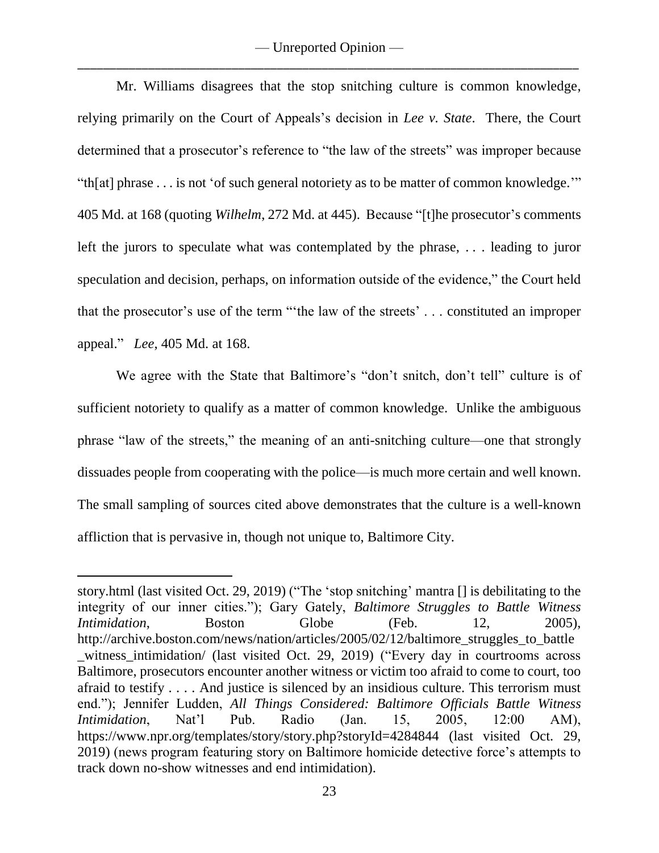Mr. Williams disagrees that the stop snitching culture is common knowledge, relying primarily on the Court of Appeals's decision in *Lee v. State*. There, the Court determined that a prosecutor's reference to "the law of the streets" was improper because "th[at] phrase . . . is not 'of such general notoriety as to be matter of common knowledge.'" 405 Md. at 168 (quoting *Wilhelm*, 272 Md. at 445). Because "[t]he prosecutor's comments left the jurors to speculate what was contemplated by the phrase, . . . leading to juror speculation and decision, perhaps, on information outside of the evidence," the Court held that the prosecutor's use of the term "'the law of the streets' . . . constituted an improper appeal." *Lee*, 405 Md. at 168.

We agree with the State that Baltimore's "don't snitch, don't tell" culture is of sufficient notoriety to qualify as a matter of common knowledge. Unlike the ambiguous phrase "law of the streets," the meaning of an anti-snitching culture—one that strongly dissuades people from cooperating with the police—is much more certain and well known. The small sampling of sources cited above demonstrates that the culture is a well-known affliction that is pervasive in, though not unique to, Baltimore City.

story.html (last visited Oct. 29, 2019) ("The 'stop snitching' mantra [] is debilitating to the integrity of our inner cities."); Gary Gately, *Baltimore Struggles to Battle Witness Intimidation*, Boston Globe (Feb. 12, 2005), http://archive.boston.com/news/nation/articles/2005/02/12/baltimore\_struggles\_to\_battle witness intimidation/ (last visited Oct. 29, 2019) ("Every day in courtrooms across Baltimore, prosecutors encounter another witness or victim too afraid to come to court, too afraid to testify . . . . And justice is silenced by an insidious culture. This terrorism must end."); Jennifer Ludden, *All Things Considered: Baltimore Officials Battle Witness Intimidation*, Nat'l Pub. Radio (Jan. 15, 2005, 12:00 AM), https://www.npr.org/templates/story/story.php?storyId=4284844 (last visited Oct. 29, 2019) (news program featuring story on Baltimore homicide detective force's attempts to track down no-show witnesses and end intimidation).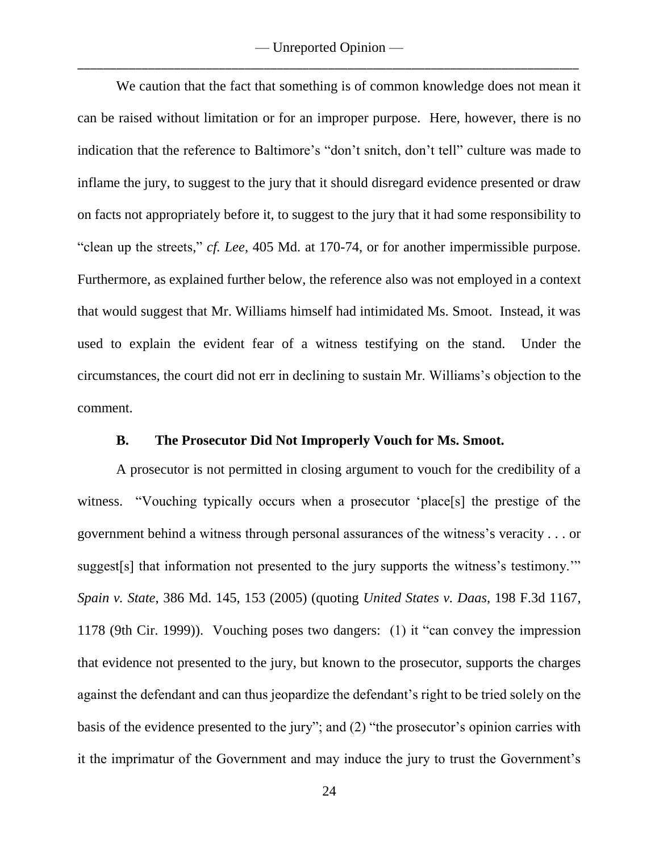— Unreported Opinion — \_\_\_\_\_\_\_\_\_\_\_\_\_\_\_\_\_\_\_\_\_\_\_\_\_\_\_\_\_\_\_\_\_\_\_\_\_\_\_\_\_\_\_\_\_\_\_\_\_\_\_\_\_\_\_\_\_\_\_\_\_\_\_\_\_\_\_\_\_\_\_\_\_\_\_\_\_\_

We caution that the fact that something is of common knowledge does not mean it can be raised without limitation or for an improper purpose. Here, however, there is no indication that the reference to Baltimore's "don't snitch, don't tell" culture was made to inflame the jury, to suggest to the jury that it should disregard evidence presented or draw on facts not appropriately before it, to suggest to the jury that it had some responsibility to "clean up the streets," *cf. Lee*, 405 Md. at 170-74, or for another impermissible purpose. Furthermore, as explained further below, the reference also was not employed in a context that would suggest that Mr. Williams himself had intimidated Ms. Smoot. Instead, it was used to explain the evident fear of a witness testifying on the stand. Under the circumstances, the court did not err in declining to sustain Mr. Williams's objection to the comment.

### **B. The Prosecutor Did Not Improperly Vouch for Ms. Smoot.**

A prosecutor is not permitted in closing argument to vouch for the credibility of a witness. "Vouching typically occurs when a prosecutor 'place[s] the prestige of the government behind a witness through personal assurances of the witness's veracity . . . or suggest[s] that information not presented to the jury supports the witness's testimony.'" *Spain v. State*, 386 Md. 145, 153 (2005) (quoting *United States v. Daas*, 198 F.3d 1167, 1178 (9th Cir. 1999)). Vouching poses two dangers: (1) it "can convey the impression that evidence not presented to the jury, but known to the prosecutor, supports the charges against the defendant and can thus jeopardize the defendant's right to be tried solely on the basis of the evidence presented to the jury"; and (2) "the prosecutor's opinion carries with it the imprimatur of the Government and may induce the jury to trust the Government's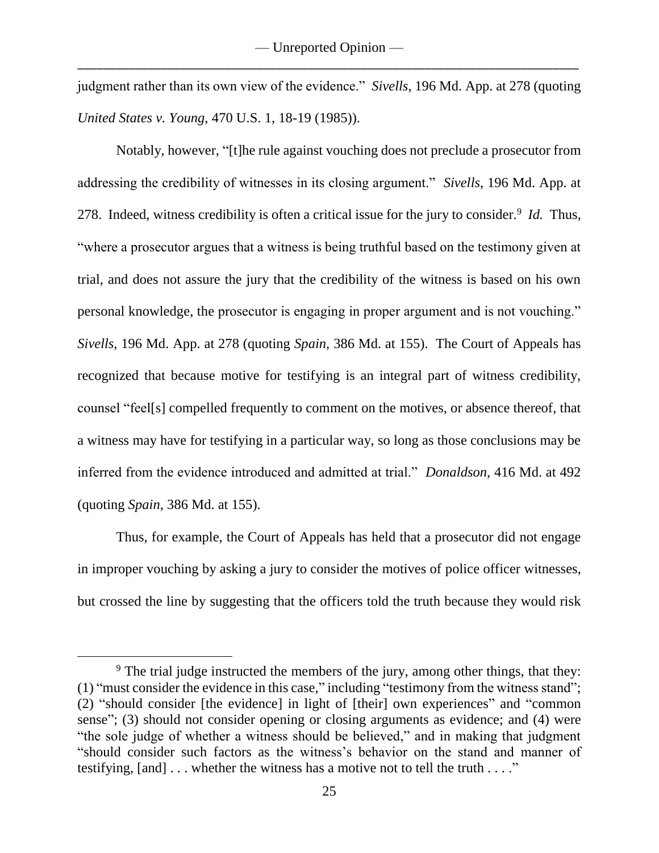judgment rather than its own view of the evidence." *Sivells*, 196 Md. App. at 278 (quoting *United States v. Young*, 470 U.S. 1, 18-19 (1985)).

Notably, however, "[t]he rule against vouching does not preclude a prosecutor from addressing the credibility of witnesses in its closing argument." *Sivells*, 196 Md. App. at 278. Indeed, witness credibility is often a critical issue for the jury to consider.<sup>9</sup> *Id.* Thus, "where a prosecutor argues that a witness is being truthful based on the testimony given at trial, and does not assure the jury that the credibility of the witness is based on his own personal knowledge, the prosecutor is engaging in proper argument and is not vouching." *Sivells*, 196 Md. App. at 278 (quoting *Spain*, 386 Md. at 155). The Court of Appeals has recognized that because motive for testifying is an integral part of witness credibility, counsel "feel[s] compelled frequently to comment on the motives, or absence thereof, that a witness may have for testifying in a particular way, so long as those conclusions may be inferred from the evidence introduced and admitted at trial." *Donaldson*, 416 Md. at 492 (quoting *Spain*, 386 Md. at 155).

Thus, for example, the Court of Appeals has held that a prosecutor did not engage in improper vouching by asking a jury to consider the motives of police officer witnesses, but crossed the line by suggesting that the officers told the truth because they would risk

<sup>&</sup>lt;sup>9</sup> The trial judge instructed the members of the jury, among other things, that they: (1) "must consider the evidence in this case," including "testimony from the witness stand"; (2) "should consider [the evidence] in light of [their] own experiences" and "common sense"; (3) should not consider opening or closing arguments as evidence; and (4) were "the sole judge of whether a witness should be believed," and in making that judgment "should consider such factors as the witness's behavior on the stand and manner of testifying, [and] . . . whether the witness has a motive not to tell the truth . . . ."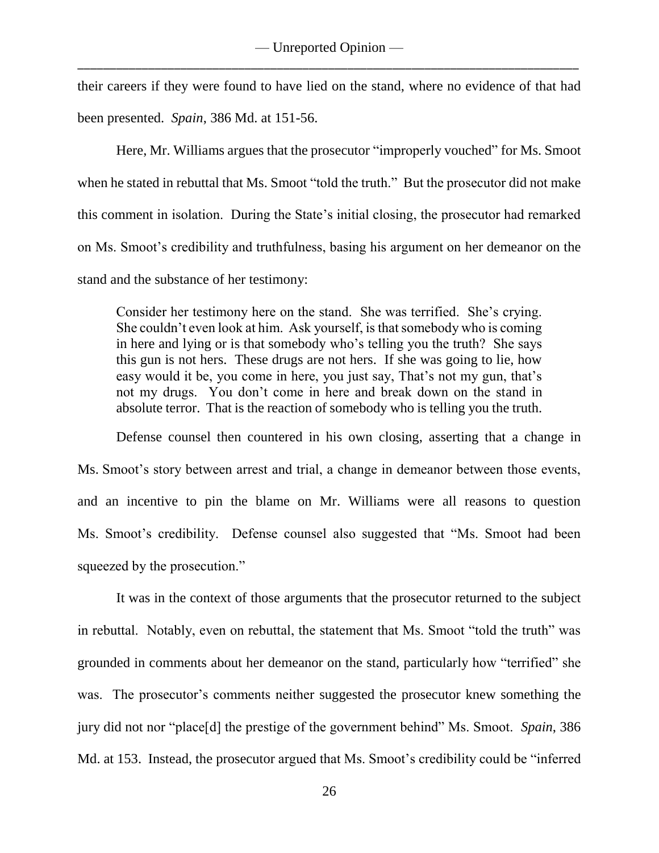their careers if they were found to have lied on the stand, where no evidence of that had been presented. *Spain*, 386 Md. at 151-56.

Here, Mr. Williams argues that the prosecutor "improperly vouched" for Ms. Smoot when he stated in rebuttal that Ms. Smoot "told the truth." But the prosecutor did not make this comment in isolation. During the State's initial closing, the prosecutor had remarked on Ms. Smoot's credibility and truthfulness, basing his argument on her demeanor on the stand and the substance of her testimony:

Consider her testimony here on the stand. She was terrified. She's crying. She couldn't even look at him. Ask yourself, is that somebody who is coming in here and lying or is that somebody who's telling you the truth? She says this gun is not hers. These drugs are not hers. If she was going to lie, how easy would it be, you come in here, you just say, That's not my gun, that's not my drugs. You don't come in here and break down on the stand in absolute terror. That is the reaction of somebody who is telling you the truth.

Defense counsel then countered in his own closing, asserting that a change in Ms. Smoot's story between arrest and trial, a change in demeanor between those events, and an incentive to pin the blame on Mr. Williams were all reasons to question Ms. Smoot's credibility. Defense counsel also suggested that "Ms. Smoot had been squeezed by the prosecution."

It was in the context of those arguments that the prosecutor returned to the subject in rebuttal. Notably, even on rebuttal, the statement that Ms. Smoot "told the truth" was grounded in comments about her demeanor on the stand, particularly how "terrified" she was. The prosecutor's comments neither suggested the prosecutor knew something the jury did not nor "place[d] the prestige of the government behind" Ms. Smoot. *Spain*, 386 Md. at 153. Instead, the prosecutor argued that Ms. Smoot's credibility could be "inferred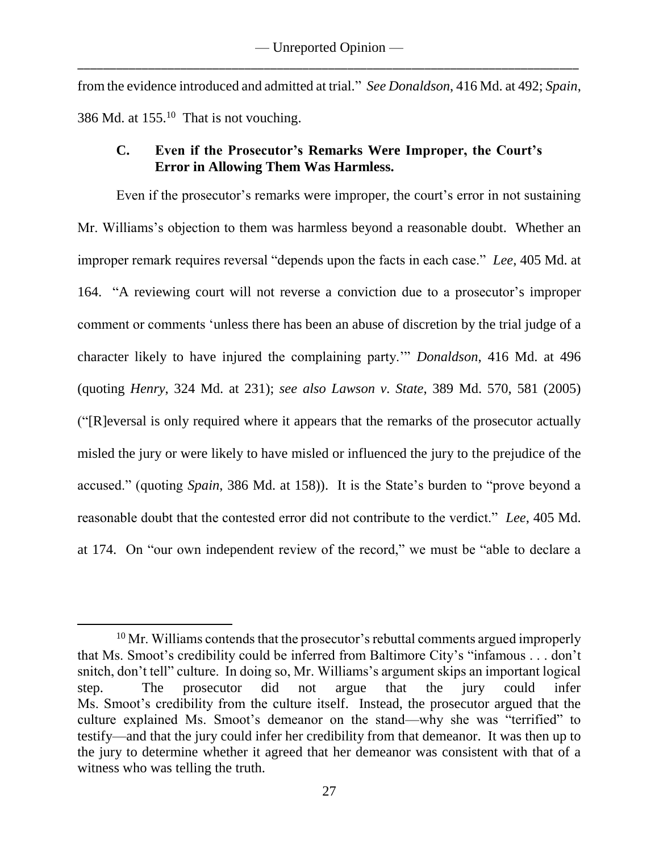from the evidence introduced and admitted at trial." *See Donaldson*, 416 Md. at 492; *Spain*, 386 Md. at  $155<sup>10</sup>$  That is not vouching.

# **C. Even if the Prosecutor's Remarks Were Improper, the Court's Error in Allowing Them Was Harmless.**

Even if the prosecutor's remarks were improper, the court's error in not sustaining Mr. Williams's objection to them was harmless beyond a reasonable doubt. Whether an improper remark requires reversal "depends upon the facts in each case." *Lee*, 405 Md. at 164. "A reviewing court will not reverse a conviction due to a prosecutor's improper comment or comments 'unless there has been an abuse of discretion by the trial judge of a character likely to have injured the complaining party.'" *Donaldson*, 416 Md. at 496 (quoting *Henry*, 324 Md. at 231); *see also Lawson v. State*, 389 Md. 570, 581 (2005) ("[R]eversal is only required where it appears that the remarks of the prosecutor actually misled the jury or were likely to have misled or influenced the jury to the prejudice of the accused." (quoting *Spain*, 386 Md. at 158)). It is the State's burden to "prove beyond a reasonable doubt that the contested error did not contribute to the verdict." *Lee*, 405 Md. at 174. On "our own independent review of the record," we must be "able to declare a

 $10$  Mr. Williams contends that the prosecutor's rebuttal comments argued improperly that Ms. Smoot's credibility could be inferred from Baltimore City's "infamous . . . don't snitch, don't tell" culture. In doing so, Mr. Williams's argument skips an important logical step. The prosecutor did not argue that the jury could infer Ms. Smoot's credibility from the culture itself. Instead, the prosecutor argued that the culture explained Ms. Smoot's demeanor on the stand—why she was "terrified" to testify—and that the jury could infer her credibility from that demeanor. It was then up to the jury to determine whether it agreed that her demeanor was consistent with that of a witness who was telling the truth.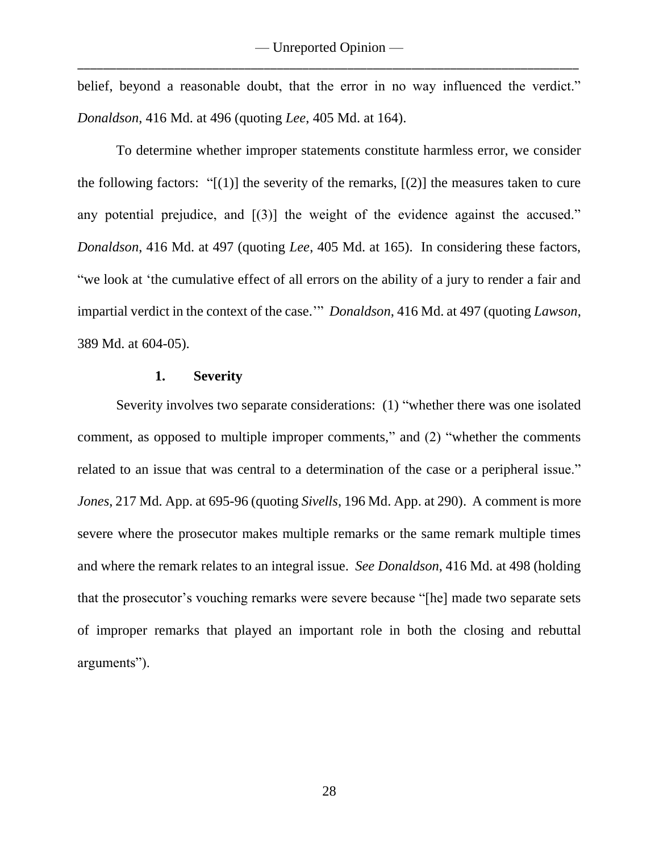belief, beyond a reasonable doubt, that the error in no way influenced the verdict." *Donaldson*, 416 Md. at 496 (quoting *Lee*, 405 Md. at 164).

To determine whether improper statements constitute harmless error, we consider the following factors: " $[(1)]$  the severity of the remarks,  $[(2)]$  the measures taken to cure any potential prejudice, and  $[(3)]$  the weight of the evidence against the accused." *Donaldson*, 416 Md. at 497 (quoting *Lee*, 405 Md. at 165). In considering these factors, "we look at 'the cumulative effect of all errors on the ability of a jury to render a fair and impartial verdict in the context of the case.'" *Donaldson*, 416 Md. at 497 (quoting *Lawson*, 389 Md. at 604-05).

# **1. Severity**

Severity involves two separate considerations: (1) "whether there was one isolated comment, as opposed to multiple improper comments," and (2) "whether the comments related to an issue that was central to a determination of the case or a peripheral issue." *Jones*, 217 Md. App. at 695-96 (quoting *Sivells*, 196 Md. App. at 290). A comment is more severe where the prosecutor makes multiple remarks or the same remark multiple times and where the remark relates to an integral issue. *See Donaldson*, 416 Md. at 498 (holding that the prosecutor's vouching remarks were severe because "[he] made two separate sets of improper remarks that played an important role in both the closing and rebuttal arguments").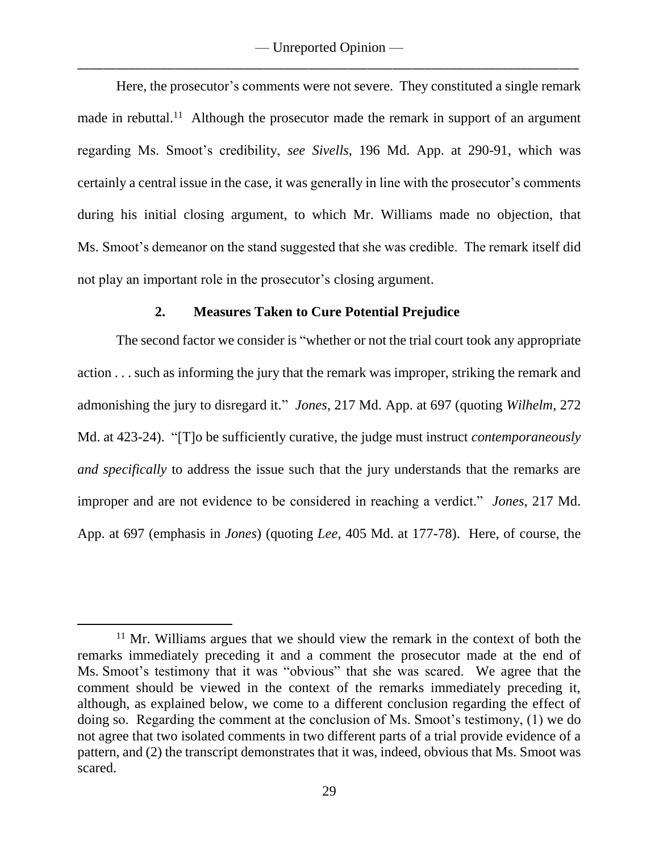Here, the prosecutor's comments were not severe. They constituted a single remark made in rebuttal.<sup>11</sup> Although the prosecutor made the remark in support of an argument regarding Ms. Smoot's credibility, *see Sivells*, 196 Md. App. at 290-91, which was certainly a central issue in the case, it was generally in line with the prosecutor's comments during his initial closing argument, to which Mr. Williams made no objection, that Ms. Smoot's demeanor on the stand suggested that she was credible. The remark itself did not play an important role in the prosecutor's closing argument.

### **2. Measures Taken to Cure Potential Prejudice**

The second factor we consider is "whether or not the trial court took any appropriate action . . . such as informing the jury that the remark was improper, striking the remark and admonishing the jury to disregard it." *Jones*, 217 Md. App. at 697 (quoting *Wilhelm*, 272 Md. at 423-24). "[T]o be sufficiently curative, the judge must instruct *contemporaneously and specifically* to address the issue such that the jury understands that the remarks are improper and are not evidence to be considered in reaching a verdict." *Jones*, 217 Md. App. at 697 (emphasis in *Jones*) (quoting *Lee*, 405 Md. at 177-78). Here, of course, the

<sup>&</sup>lt;sup>11</sup> Mr. Williams argues that we should view the remark in the context of both the remarks immediately preceding it and a comment the prosecutor made at the end of Ms. Smoot's testimony that it was "obvious" that she was scared. We agree that the comment should be viewed in the context of the remarks immediately preceding it, although, as explained below, we come to a different conclusion regarding the effect of doing so. Regarding the comment at the conclusion of Ms. Smoot's testimony, (1) we do not agree that two isolated comments in two different parts of a trial provide evidence of a pattern, and (2) the transcript demonstrates that it was, indeed, obvious that Ms. Smoot was scared.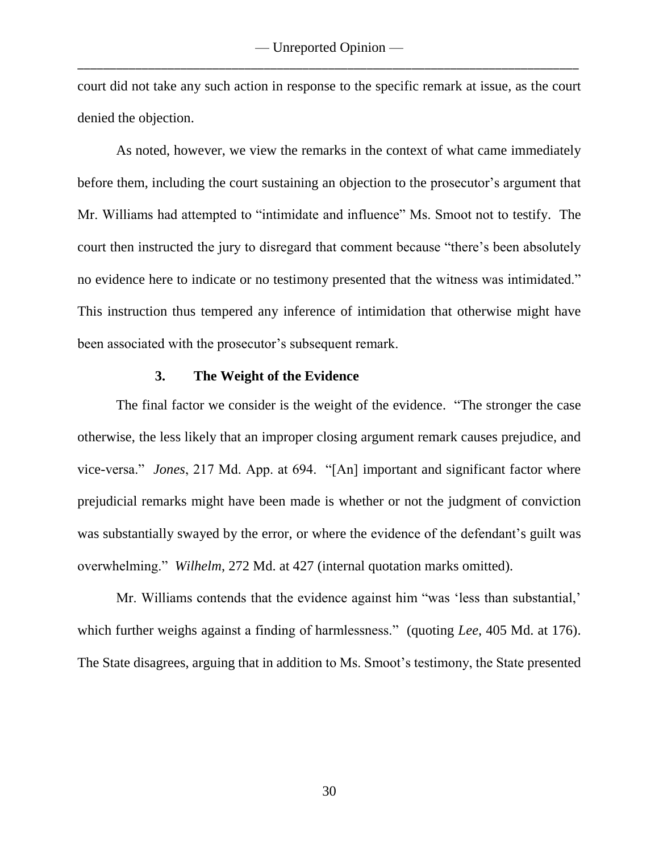court did not take any such action in response to the specific remark at issue, as the court denied the objection.

As noted, however, we view the remarks in the context of what came immediately before them, including the court sustaining an objection to the prosecutor's argument that Mr. Williams had attempted to "intimidate and influence" Ms. Smoot not to testify. The court then instructed the jury to disregard that comment because "there's been absolutely no evidence here to indicate or no testimony presented that the witness was intimidated." This instruction thus tempered any inference of intimidation that otherwise might have been associated with the prosecutor's subsequent remark.

### **3. The Weight of the Evidence**

The final factor we consider is the weight of the evidence. "The stronger the case otherwise, the less likely that an improper closing argument remark causes prejudice, and vice-versa." *Jones*, 217 Md. App. at 694. "[An] important and significant factor where prejudicial remarks might have been made is whether or not the judgment of conviction was substantially swayed by the error, or where the evidence of the defendant's guilt was overwhelming." *Wilhelm*, 272 Md. at 427 (internal quotation marks omitted).

Mr. Williams contends that the evidence against him "was 'less than substantial,' which further weighs against a finding of harmlessness." (quoting *Lee*, 405 Md. at 176). The State disagrees, arguing that in addition to Ms. Smoot's testimony, the State presented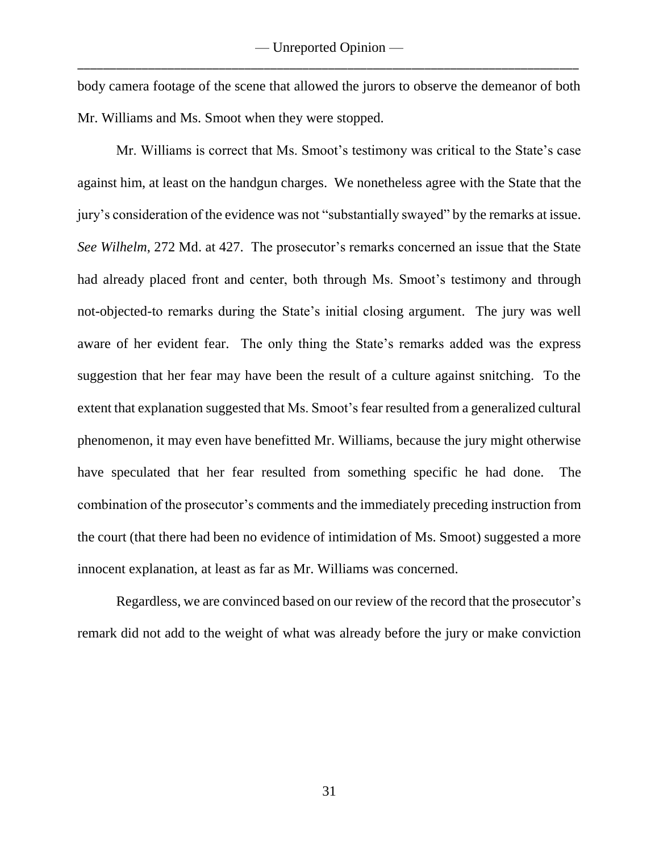body camera footage of the scene that allowed the jurors to observe the demeanor of both Mr. Williams and Ms. Smoot when they were stopped.

Mr. Williams is correct that Ms. Smoot's testimony was critical to the State's case against him, at least on the handgun charges. We nonetheless agree with the State that the jury's consideration of the evidence was not "substantially swayed" by the remarks at issue. *See Wilhelm*, 272 Md. at 427. The prosecutor's remarks concerned an issue that the State had already placed front and center, both through Ms. Smoot's testimony and through not-objected-to remarks during the State's initial closing argument. The jury was well aware of her evident fear. The only thing the State's remarks added was the express suggestion that her fear may have been the result of a culture against snitching. To the extent that explanation suggested that Ms. Smoot's fear resulted from a generalized cultural phenomenon, it may even have benefitted Mr. Williams, because the jury might otherwise have speculated that her fear resulted from something specific he had done. The combination of the prosecutor's comments and the immediately preceding instruction from the court (that there had been no evidence of intimidation of Ms. Smoot) suggested a more innocent explanation, at least as far as Mr. Williams was concerned.

Regardless, we are convinced based on our review of the record that the prosecutor's remark did not add to the weight of what was already before the jury or make conviction